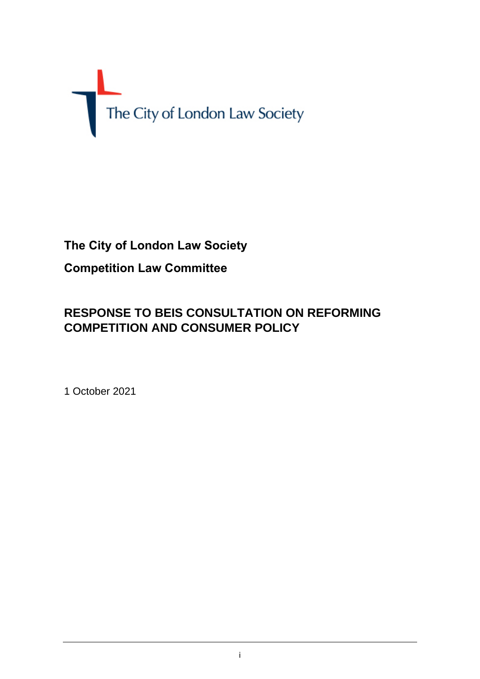# The City of London Law Society

# **The City of London Law Society Competition Law Committee**

# **RESPONSE TO BEIS CONSULTATION ON REFORMING COMPETITION AND CONSUMER POLICY**

1 October 2021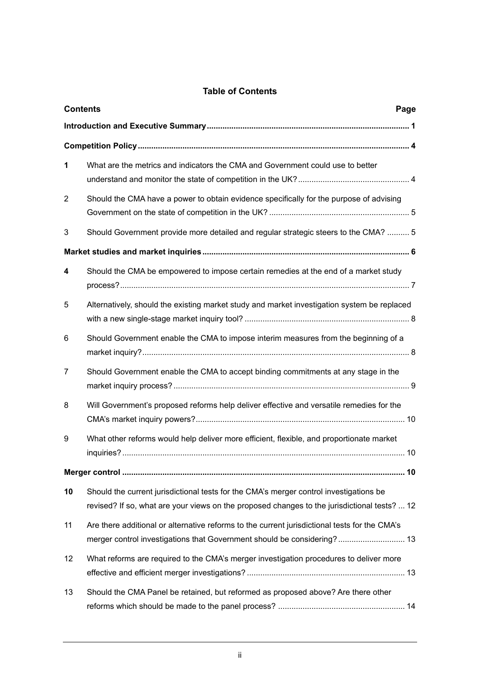# **Table of Contents**

| <b>Contents</b><br>Page |                                                                                                                                                                                        |  |
|-------------------------|----------------------------------------------------------------------------------------------------------------------------------------------------------------------------------------|--|
|                         |                                                                                                                                                                                        |  |
|                         |                                                                                                                                                                                        |  |
| 1                       | What are the metrics and indicators the CMA and Government could use to better                                                                                                         |  |
| $\overline{2}$          | Should the CMA have a power to obtain evidence specifically for the purpose of advising                                                                                                |  |
| 3                       | Should Government provide more detailed and regular strategic steers to the CMA?  5                                                                                                    |  |
|                         |                                                                                                                                                                                        |  |
| 4                       | Should the CMA be empowered to impose certain remedies at the end of a market study                                                                                                    |  |
| 5                       | Alternatively, should the existing market study and market investigation system be replaced                                                                                            |  |
| 6                       | Should Government enable the CMA to impose interim measures from the beginning of a                                                                                                    |  |
| 7                       | Should Government enable the CMA to accept binding commitments at any stage in the                                                                                                     |  |
| 8                       | Will Government's proposed reforms help deliver effective and versatile remedies for the                                                                                               |  |
| 9                       | What other reforms would help deliver more efficient, flexible, and proportionate market                                                                                               |  |
|                         |                                                                                                                                                                                        |  |
| 10                      | Should the current jurisdictional tests for the CMA's merger control investigations be<br>revised? If so, what are your views on the proposed changes to the jurisdictional tests?  12 |  |
| 11                      | Are there additional or alternative reforms to the current jurisdictional tests for the CMA's<br>merger control investigations that Government should be considering? 13               |  |
| 12                      | What reforms are required to the CMA's merger investigation procedures to deliver more                                                                                                 |  |
| 13                      | Should the CMA Panel be retained, but reformed as proposed above? Are there other                                                                                                      |  |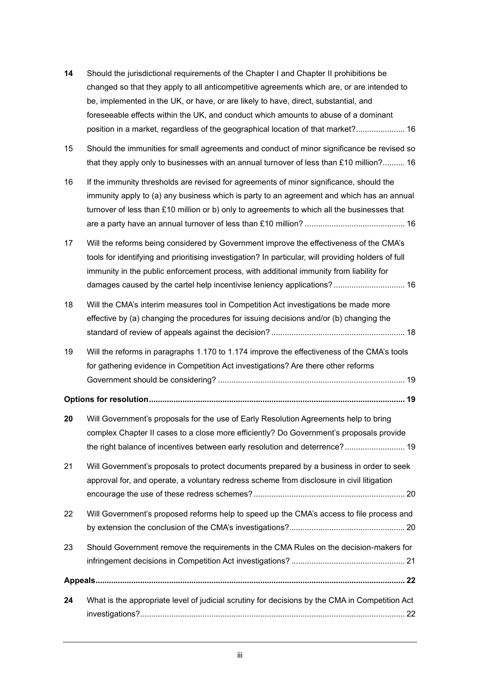| 14 | Should the jurisdictional requirements of the Chapter I and Chapter II prohibitions be<br>changed so that they apply to all anticompetitive agreements which are, or are intended to                                                                                                                                                                                |  |
|----|---------------------------------------------------------------------------------------------------------------------------------------------------------------------------------------------------------------------------------------------------------------------------------------------------------------------------------------------------------------------|--|
|    | be, implemented in the UK, or have, or are likely to have, direct, substantial, and<br>foreseeable effects within the UK, and conduct which amounts to abuse of a dominant<br>position in a market, regardless of the geographical location of that market? 16                                                                                                      |  |
| 15 | Should the immunities for small agreements and conduct of minor significance be revised so<br>that they apply only to businesses with an annual turnover of less than £10 million? 16                                                                                                                                                                               |  |
| 16 | If the immunity thresholds are revised for agreements of minor significance, should the<br>immunity apply to (a) any business which is party to an agreement and which has an annual<br>turnover of less than £10 million or b) only to agreements to which all the businesses that                                                                                 |  |
| 17 | Will the reforms being considered by Government improve the effectiveness of the CMA's<br>tools for identifying and prioritising investigation? In particular, will providing holders of full<br>immunity in the public enforcement process, with additional immunity from liability for<br>damages caused by the cartel help incentivise leniency applications? 16 |  |
| 18 | Will the CMA's interim measures tool in Competition Act investigations be made more<br>effective by (a) changing the procedures for issuing decisions and/or (b) changing the                                                                                                                                                                                       |  |
| 19 | Will the reforms in paragraphs 1.170 to 1.174 improve the effectiveness of the CMA's tools<br>for gathering evidence in Competition Act investigations? Are there other reforms                                                                                                                                                                                     |  |
|    |                                                                                                                                                                                                                                                                                                                                                                     |  |
| 20 | Will Government's proposals for the use of Early Resolution Agreements help to bring<br>complex Chapter II cases to a close more efficiently? Do Government's proposals provide<br>the right balance of incentives between early resolution and deterrence? 19                                                                                                      |  |
| 21 | Will Government's proposals to protect documents prepared by a business in order to seek<br>approval for, and operate, a voluntary redress scheme from disclosure in civil litigation                                                                                                                                                                               |  |
| 22 | Will Government's proposed reforms help to speed up the CMA's access to file process and                                                                                                                                                                                                                                                                            |  |
| 23 | Should Government remove the requirements in the CMA Rules on the decision-makers for                                                                                                                                                                                                                                                                               |  |
|    |                                                                                                                                                                                                                                                                                                                                                                     |  |
| 24 | What is the appropriate level of judicial scrutiny for decisions by the CMA in Competition Act                                                                                                                                                                                                                                                                      |  |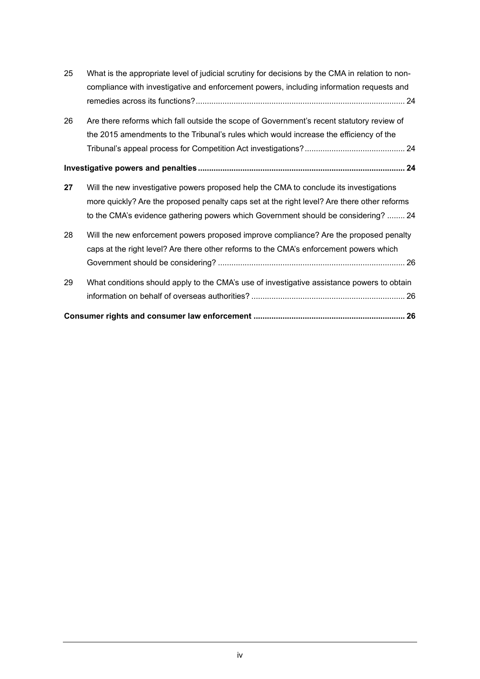| 25 | What is the appropriate level of judicial scrutiny for decisions by the CMA in relation to non-<br>compliance with investigative and enforcement powers, including information requests and |  |
|----|---------------------------------------------------------------------------------------------------------------------------------------------------------------------------------------------|--|
|    |                                                                                                                                                                                             |  |
| 26 | Are there reforms which fall outside the scope of Government's recent statutory review of                                                                                                   |  |
|    | the 2015 amendments to the Tribunal's rules which would increase the efficiency of the                                                                                                      |  |
|    |                                                                                                                                                                                             |  |
|    |                                                                                                                                                                                             |  |
| 27 | Will the new investigative powers proposed help the CMA to conclude its investigations                                                                                                      |  |
|    | more quickly? Are the proposed penalty caps set at the right level? Are there other reforms                                                                                                 |  |
|    | to the CMA's evidence gathering powers which Government should be considering?  24                                                                                                          |  |
| 28 | Will the new enforcement powers proposed improve compliance? Are the proposed penalty                                                                                                       |  |
|    | caps at the right level? Are there other reforms to the CMA's enforcement powers which                                                                                                      |  |
|    |                                                                                                                                                                                             |  |
| 29 | What conditions should apply to the CMA's use of investigative assistance powers to obtain                                                                                                  |  |
|    |                                                                                                                                                                                             |  |
|    |                                                                                                                                                                                             |  |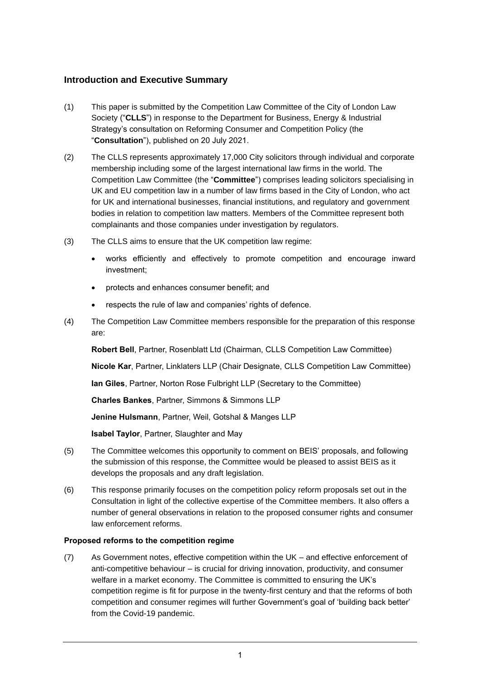#### **Introduction and Executive Summary**

- (1) This paper is submitted by the Competition Law Committee of the City of London Law Society ("**CLLS**") in response to the Department for Business, Energy & Industrial Strategy's consultation on Reforming Consumer and Competition Policy (the "**Consultation**"), published on 20 July 2021.
- (2) The CLLS represents approximately 17,000 City solicitors through individual and corporate membership including some of the largest international law firms in the world. The Competition Law Committee (the "**Committee**") comprises leading solicitors specialising in UK and EU competition law in a number of law firms based in the City of London, who act for UK and international businesses, financial institutions, and regulatory and government bodies in relation to competition law matters. Members of the Committee represent both complainants and those companies under investigation by regulators.
- (3) The CLLS aims to ensure that the UK competition law regime:
	- works efficiently and effectively to promote competition and encourage inward investment;
	- protects and enhances consumer benefit; and
	- respects the rule of law and companies' rights of defence.
- (4) The Competition Law Committee members responsible for the preparation of this response are:

**Robert Bell**, Partner, Rosenblatt Ltd (Chairman, CLLS Competition Law Committee)

**Nicole Kar**, Partner, Linklaters LLP (Chair Designate, CLLS Competition Law Committee)

**Ian Giles**, Partner, Norton Rose Fulbright LLP (Secretary to the Committee)

**Charles Bankes**, Partner, Simmons & Simmons LLP

**Jenine Hulsmann**, Partner, Weil, Gotshal & Manges LLP

**Isabel Taylor**, Partner, Slaughter and May

- (5) The Committee welcomes this opportunity to comment on BEIS' proposals, and following the submission of this response, the Committee would be pleased to assist BEIS as it develops the proposals and any draft legislation.
- (6) This response primarily focuses on the competition policy reform proposals set out in the Consultation in light of the collective expertise of the Committee members. It also offers a number of general observations in relation to the proposed consumer rights and consumer law enforcement reforms.

#### **Proposed reforms to the competition regime**

(7) As Government notes, effective competition within the UK – and effective enforcement of anti-competitive behaviour – is crucial for driving innovation, productivity, and consumer welfare in a market economy. The Committee is committed to ensuring the UK's competition regime is fit for purpose in the twenty-first century and that the reforms of both competition and consumer regimes will further Government's goal of 'building back better' from the Covid-19 pandemic.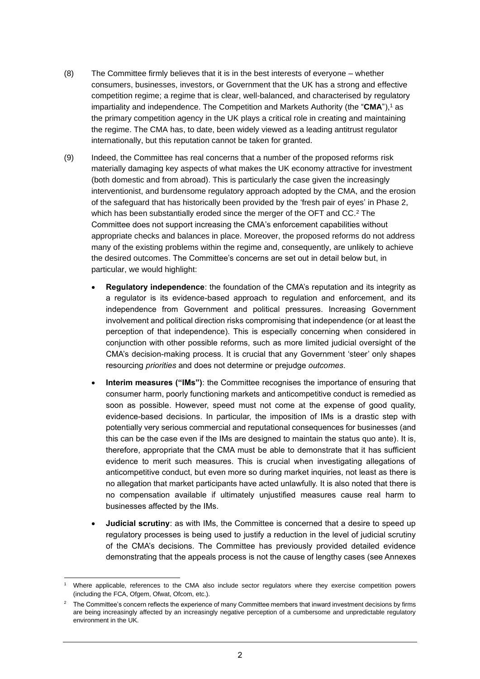- (8) The Committee firmly believes that it is in the best interests of everyone whether consumers, businesses, investors, or Government that the UK has a strong and effective competition regime; a regime that is clear, well-balanced, and characterised by regulatory impartiality and independence. The Competition and Markets Authority (the "CMA"),<sup>1</sup> as the primary competition agency in the UK plays a critical role in creating and maintaining the regime. The CMA has, to date, been widely viewed as a leading antitrust regulator internationally, but this reputation cannot be taken for granted.
- (9) Indeed, the Committee has real concerns that a number of the proposed reforms risk materially damaging key aspects of what makes the UK economy attractive for investment (both domestic and from abroad). This is particularly the case given the increasingly interventionist, and burdensome regulatory approach adopted by the CMA, and the erosion of the safeguard that has historically been provided by the 'fresh pair of eyes' in Phase 2, which has been substantially eroded since the merger of the OFT and CC. <sup>2</sup> The Committee does not support increasing the CMA's enforcement capabilities without appropriate checks and balances in place. Moreover, the proposed reforms do not address many of the existing problems within the regime and, consequently, are unlikely to achieve the desired outcomes. The Committee's concerns are set out in detail below but, in particular, we would highlight:
	- **Regulatory independence**: the foundation of the CMA's reputation and its integrity as a regulator is its evidence-based approach to regulation and enforcement, and its independence from Government and political pressures. Increasing Government involvement and political direction risks compromising that independence (or at least the perception of that independence). This is especially concerning when considered in conjunction with other possible reforms, such as more limited judicial oversight of the CMA's decision-making process. It is crucial that any Government 'steer' only shapes resourcing *priorities* and does not determine or prejudge *outcomes*.
	- **Interim measures ("IMs")**: the Committee recognises the importance of ensuring that consumer harm, poorly functioning markets and anticompetitive conduct is remedied as soon as possible. However, speed must not come at the expense of good quality, evidence-based decisions. In particular, the imposition of IMs is a drastic step with potentially very serious commercial and reputational consequences for businesses (and this can be the case even if the IMs are designed to maintain the status quo ante). It is, therefore, appropriate that the CMA must be able to demonstrate that it has sufficient evidence to merit such measures. This is crucial when investigating allegations of anticompetitive conduct, but even more so during market inquiries, not least as there is no allegation that market participants have acted unlawfully. It is also noted that there is no compensation available if ultimately unjustified measures cause real harm to businesses affected by the IMs.
	- **Judicial scrutiny**: as with IMs, the Committee is concerned that a desire to speed up regulatory processes is being used to justify a reduction in the level of judicial scrutiny of the CMA's decisions. The Committee has previously provided detailed evidence demonstrating that the appeals process is not the cause of lengthy cases (see Annexes

Where applicable, references to the CMA also include sector regulators where they exercise competition powers (including the FCA, Ofgem, Ofwat, Ofcom, etc.).

<sup>2</sup> The Committee's concern reflects the experience of many Committee members that inward investment decisions by firms are being increasingly affected by an increasingly negative perception of a cumbersome and unpredictable regulatory environment in the UK.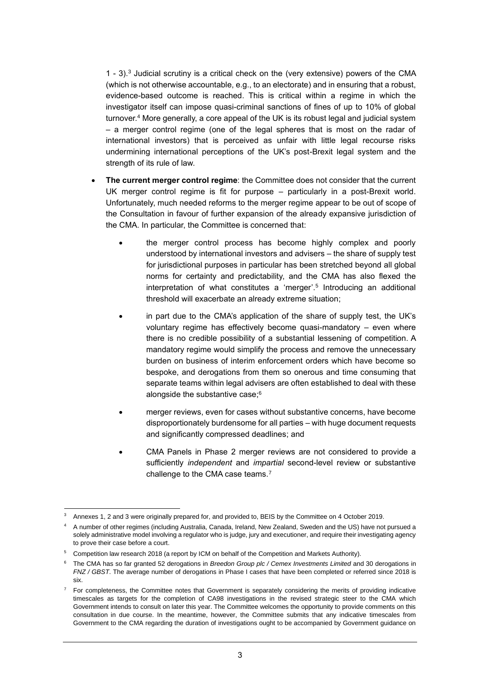1 - 3). <sup>3</sup> Judicial scrutiny is a critical check on the (very extensive) powers of the CMA (which is not otherwise accountable, e.g., to an electorate) and in ensuring that a robust, evidence-based outcome is reached. This is critical within a regime in which the investigator itself can impose quasi-criminal sanctions of fines of up to 10% of global turnover. <sup>4</sup> More generally, a core appeal of the UK is its robust legal and judicial system – a merger control regime (one of the legal spheres that is most on the radar of international investors) that is perceived as unfair with little legal recourse risks undermining international perceptions of the UK's post-Brexit legal system and the strength of its rule of law.

- **The current merger control regime**: the Committee does not consider that the current UK merger control regime is fit for purpose – particularly in a post-Brexit world. Unfortunately, much needed reforms to the merger regime appear to be out of scope of the Consultation in favour of further expansion of the already expansive jurisdiction of the CMA. In particular, the Committee is concerned that:
	- the merger control process has become highly complex and poorly understood by international investors and advisers – the share of supply test for jurisdictional purposes in particular has been stretched beyond all global norms for certainty and predictability, and the CMA has also flexed the interpretation of what constitutes a 'merger'. 5 Introducing an additional threshold will exacerbate an already extreme situation;
	- in part due to the CMA's application of the share of supply test, the UK's voluntary regime has effectively become quasi-mandatory – even where there is no credible possibility of a substantial lessening of competition. A mandatory regime would simplify the process and remove the unnecessary burden on business of interim enforcement orders which have become so bespoke, and derogations from them so onerous and time consuming that separate teams within legal advisers are often established to deal with these alongside the substantive case; 6
	- merger reviews, even for cases without substantive concerns, have become disproportionately burdensome for all parties – with huge document requests and significantly compressed deadlines; and
	- CMA Panels in Phase 2 merger reviews are not considered to provide a sufficiently *independent* and *impartial* second-level review or substantive challenge to the CMA case teams.<sup>7</sup>

<sup>3</sup> Annexes 1, 2 and 3 were originally prepared for, and provided to, BEIS by the Committee on 4 October 2019.

<sup>4</sup> A number of other regimes (including Australia, Canada, Ireland, New Zealand, Sweden and the US) have not pursued a solely administrative model involving a regulator who is judge, jury and executioner, and require their investigating agency to prove their case before a court.

<sup>5</sup> Competition law research 2018 (a report by ICM on behalf of the Competition and Markets Authority).

<sup>6</sup> The CMA has so far granted 52 derogations in *Breedon Group plc / Cemex Investments Limited* and 30 derogations in *FNZ / GBST*. The average number of derogations in Phase I cases that have been completed or referred since 2018 is six.

<sup>7</sup> For completeness, the Committee notes that Government is separately considering the merits of providing indicative timescales as targets for the completion of CA98 investigations in the revised strategic steer to the CMA which Government intends to consult on later this year. The Committee welcomes the opportunity to provide comments on this consultation in due course. In the meantime, however, the Committee submits that any indicative timescales from Government to the CMA regarding the duration of investigations ought to be accompanied by Government guidance on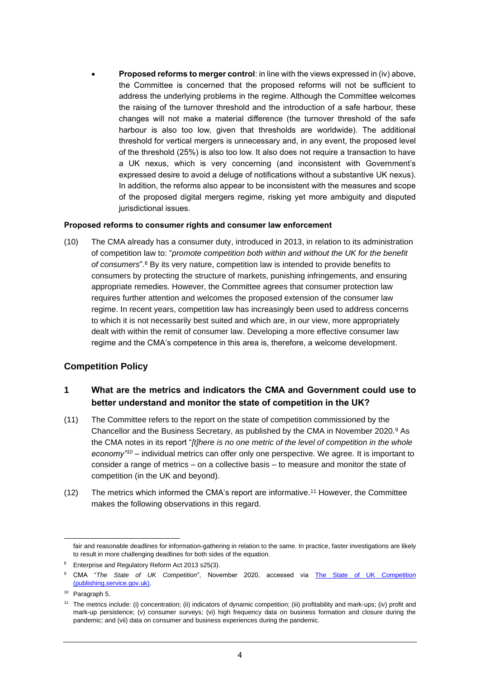• **Proposed reforms to merger control**: in line with the views expressed in (iv) above, the Committee is concerned that the proposed reforms will not be sufficient to address the underlying problems in the regime. Although the Committee welcomes the raising of the turnover threshold and the introduction of a safe harbour, these changes will not make a material difference (the turnover threshold of the safe harbour is also too low, given that thresholds are worldwide). The additional threshold for vertical mergers is unnecessary and, in any event, the proposed level of the threshold (25%) is also too low. It also does not require a transaction to have a UK nexus, which is very concerning (and inconsistent with Government's expressed desire to avoid a deluge of notifications without a substantive UK nexus). In addition, the reforms also appear to be inconsistent with the measures and scope of the proposed digital mergers regime, risking yet more ambiguity and disputed jurisdictional issues.

#### **Proposed reforms to consumer rights and consumer law enforcement**

(10) The CMA already has a consumer duty, introduced in 2013, in relation to its administration of competition law to: "*promote competition both within and without the UK for the benefit of consumers*". <sup>8</sup> By its very nature, competition law is intended to provide benefits to consumers by protecting the structure of markets, punishing infringements, and ensuring appropriate remedies. However, the Committee agrees that consumer protection law requires further attention and welcomes the proposed extension of the consumer law regime. In recent years, competition law has increasingly been used to address concerns to which it is not necessarily best suited and which are, in our view, more appropriately dealt with within the remit of consumer law. Developing a more effective consumer law regime and the CMA's competence in this area is, therefore, a welcome development.

#### **Competition Policy**

## **1 What are the metrics and indicators the CMA and Government could use to better understand and monitor the state of competition in the UK?**

- (11) The Committee refers to the report on the state of competition commissioned by the Chancellor and the Business Secretary, as published by the CMA in November 2020.<sup>9</sup> As the CMA notes in its report "*[t]here is no one metric of the level of competition in the whole economy"<sup>10</sup>* – individual metrics can offer only one perspective. We agree. It is important to consider a range of metrics – on a collective basis – to measure and monitor the state of competition (in the UK and beyond).
- (12) The metrics which informed the CMA's report are informative.<sup>11</sup> However, the Committee makes the following observations in this regard.

fair and reasonable deadlines for information-gathering in relation to the same. In practice, faster investigations are likely to result in more challenging deadlines for both sides of the equation.

<sup>&</sup>lt;sup>8</sup> Enterprise and Regulatory Reform Act 2013 s25(3).

<sup>&</sup>lt;sup>9</sup> CMA "The State of UK Competition", November 2020, accessed via The State of UK Competition [\(publishing.service.gov.uk\).](https://assets.publishing.service.gov.uk/government/uploads/system/uploads/attachment_data/file/939636/State_of_Competition_Report_Nov_2020_Final.pdf)

<sup>10</sup> Paragraph 5.

<sup>&</sup>lt;sup>11</sup> The metrics include: (i) concentration; (ii) indicators of dynamic competition; (iii) profitability and mark-ups; (iv) profit and mark-up persistence; (v) consumer surveys; (vi) high frequency data on business formation and closure during the pandemic; and (vii) data on consumer and business experiences during the pandemic.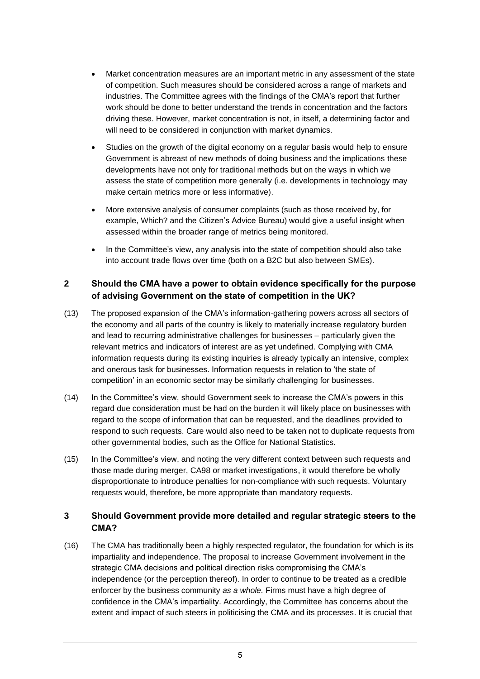- Market concentration measures are an important metric in any assessment of the state of competition. Such measures should be considered across a range of markets and industries. The Committee agrees with the findings of the CMA's report that further work should be done to better understand the trends in concentration and the factors driving these. However, market concentration is not, in itself, a determining factor and will need to be considered in conjunction with market dynamics.
- Studies on the growth of the digital economy on a regular basis would help to ensure Government is abreast of new methods of doing business and the implications these developments have not only for traditional methods but on the ways in which we assess the state of competition more generally (i.e. developments in technology may make certain metrics more or less informative).
- More extensive analysis of consumer complaints (such as those received by, for example, Which? and the Citizen's Advice Bureau) would give a useful insight when assessed within the broader range of metrics being monitored.
- In the Committee's view, any analysis into the state of competition should also take into account trade flows over time (both on a B2C but also between SMEs).

#### **2 Should the CMA have a power to obtain evidence specifically for the purpose of advising Government on the state of competition in the UK?**

- (13) The proposed expansion of the CMA's information-gathering powers across all sectors of the economy and all parts of the country is likely to materially increase regulatory burden and lead to recurring administrative challenges for businesses – particularly given the relevant metrics and indicators of interest are as yet undefined. Complying with CMA information requests during its existing inquiries is already typically an intensive, complex and onerous task for businesses. Information requests in relation to 'the state of competition' in an economic sector may be similarly challenging for businesses.
- (14) In the Committee's view, should Government seek to increase the CMA's powers in this regard due consideration must be had on the burden it will likely place on businesses with regard to the scope of information that can be requested, and the deadlines provided to respond to such requests. Care would also need to be taken not to duplicate requests from other governmental bodies, such as the Office for National Statistics.
- (15) In the Committee's view, and noting the very different context between such requests and those made during merger, CA98 or market investigations, it would therefore be wholly disproportionate to introduce penalties for non-compliance with such requests. Voluntary requests would, therefore, be more appropriate than mandatory requests.

#### **3 Should Government provide more detailed and regular strategic steers to the CMA?**

(16) The CMA has traditionally been a highly respected regulator, the foundation for which is its impartiality and independence. The proposal to increase Government involvement in the strategic CMA decisions and political direction risks compromising the CMA's independence (or the perception thereof). In order to continue to be treated as a credible enforcer by the business community *as a whole.* Firms must have a high degree of confidence in the CMA's impartiality. Accordingly, the Committee has concerns about the extent and impact of such steers in politicising the CMA and its processes. It is crucial that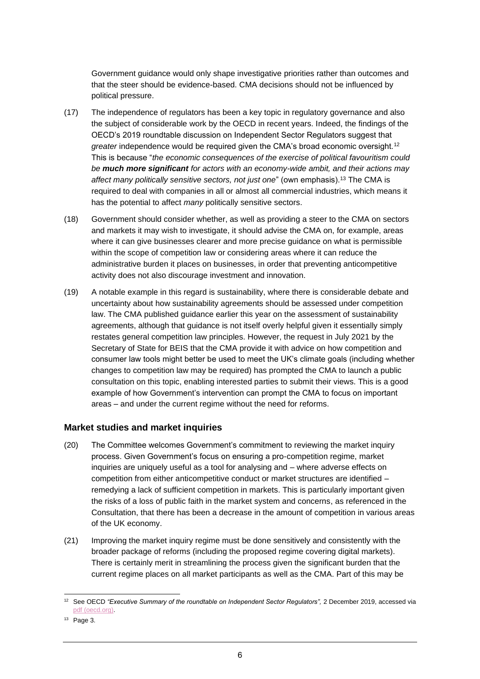Government guidance would only shape investigative priorities rather than outcomes and that the steer should be evidence-based. CMA decisions should not be influenced by political pressure.

- (17) The independence of regulators has been a key topic in regulatory governance and also the subject of considerable work by the OECD in recent years. Indeed, the findings of the OECD's 2019 roundtable discussion on Independent Sector Regulators suggest that *greater* independence would be required given the CMA's broad economic oversight.<sup>12</sup> This is because "*the economic consequences of the exercise of political favouritism could be much more significant for actors with an economy-wide ambit, and their actions may affect many politically sensitive sectors, not just one*" (own emphasis).<sup>13</sup> The CMA is required to deal with companies in all or almost all commercial industries, which means it has the potential to affect *many* politically sensitive sectors.
- (18) Government should consider whether, as well as providing a steer to the CMA on sectors and markets it may wish to investigate, it should advise the CMA on, for example, areas where it can give businesses clearer and more precise guidance on what is permissible within the scope of competition law or considering areas where it can reduce the administrative burden it places on businesses, in order that preventing anticompetitive activity does not also discourage investment and innovation.
- (19) A notable example in this regard is sustainability, where there is considerable debate and uncertainty about how sustainability agreements should be assessed under competition law. The CMA published guidance earlier this year on the assessment of sustainability agreements, although that guidance is not itself overly helpful given it essentially simply restates general competition law principles. However, the request in July 2021 by the Secretary of State for BEIS that the CMA provide it with advice on how competition and consumer law tools might better be used to meet the UK's climate goals (including whether changes to competition law may be required) has prompted the CMA to launch a public consultation on this topic, enabling interested parties to submit their views. This is a good example of how Government's intervention can prompt the CMA to focus on important areas – and under the current regime without the need for reforms.

#### **Market studies and market inquiries**

- (20) The Committee welcomes Government's commitment to reviewing the market inquiry process. Given Government's focus on ensuring a pro-competition regime, market inquiries are uniquely useful as a tool for analysing and – where adverse effects on competition from either anticompetitive conduct or market structures are identified – remedying a lack of sufficient competition in markets. This is particularly important given the risks of a loss of public faith in the market system and concerns, as referenced in the Consultation, that there has been a decrease in the amount of competition in various areas of the UK economy.
- (21) Improving the market inquiry regime must be done sensitively and consistently with the broader package of reforms (including the proposed regime covering digital markets). There is certainly merit in streamlining the process given the significant burden that the current regime places on all market participants as well as the CMA. Part of this may be

<sup>&</sup>lt;sup>12</sup> See OECD "Executive Summary of the roundtable on Independent Sector Regulators", 2 December 2019, accessed via [pdf \(oecd.org\).](https://one.oecd.org/document/DAF/COMP/WP2/M(2019)2/ANN2/FINAL/en/pdf) 

 $13$  Page 3.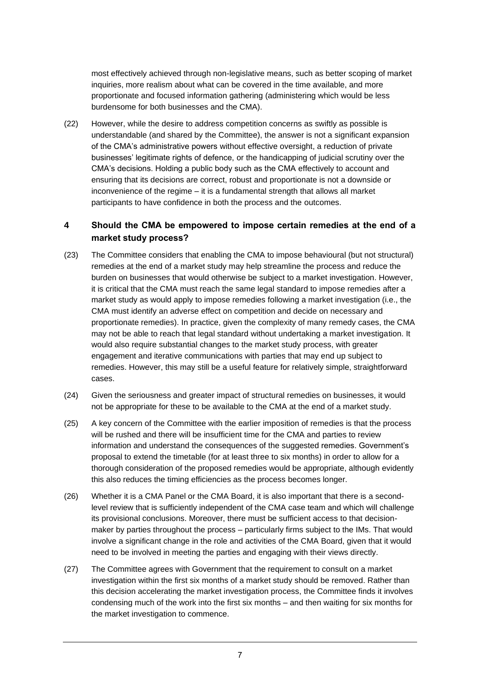most effectively achieved through non-legislative means, such as better scoping of market inquiries, more realism about what can be covered in the time available, and more proportionate and focused information gathering (administering which would be less burdensome for both businesses and the CMA).

(22) However, while the desire to address competition concerns as swiftly as possible is understandable (and shared by the Committee), the answer is not a significant expansion of the CMA's administrative powers without effective oversight, a reduction of private businesses' legitimate rights of defence, or the handicapping of judicial scrutiny over the CMA's decisions. Holding a public body such as the CMA effectively to account and ensuring that its decisions are correct, robust and proportionate is not a downside or inconvenience of the regime – it is a fundamental strength that allows all market participants to have confidence in both the process and the outcomes.

#### **4 Should the CMA be empowered to impose certain remedies at the end of a market study process?**

- (23) The Committee considers that enabling the CMA to impose behavioural (but not structural) remedies at the end of a market study may help streamline the process and reduce the burden on businesses that would otherwise be subject to a market investigation. However, it is critical that the CMA must reach the same legal standard to impose remedies after a market study as would apply to impose remedies following a market investigation (i.e., the CMA must identify an adverse effect on competition and decide on necessary and proportionate remedies). In practice, given the complexity of many remedy cases, the CMA may not be able to reach that legal standard without undertaking a market investigation. It would also require substantial changes to the market study process, with greater engagement and iterative communications with parties that may end up subject to remedies. However, this may still be a useful feature for relatively simple, straightforward cases.
- (24) Given the seriousness and greater impact of structural remedies on businesses, it would not be appropriate for these to be available to the CMA at the end of a market study.
- (25) A key concern of the Committee with the earlier imposition of remedies is that the process will be rushed and there will be insufficient time for the CMA and parties to review information and understand the consequences of the suggested remedies. Government's proposal to extend the timetable (for at least three to six months) in order to allow for a thorough consideration of the proposed remedies would be appropriate, although evidently this also reduces the timing efficiencies as the process becomes longer.
- (26) Whether it is a CMA Panel or the CMA Board, it is also important that there is a secondlevel review that is sufficiently independent of the CMA case team and which will challenge its provisional conclusions. Moreover, there must be sufficient access to that decisionmaker by parties throughout the process – particularly firms subject to the IMs. That would involve a significant change in the role and activities of the CMA Board, given that it would need to be involved in meeting the parties and engaging with their views directly.
- (27) The Committee agrees with Government that the requirement to consult on a market investigation within the first six months of a market study should be removed. Rather than this decision accelerating the market investigation process, the Committee finds it involves condensing much of the work into the first six months – and then waiting for six months for the market investigation to commence.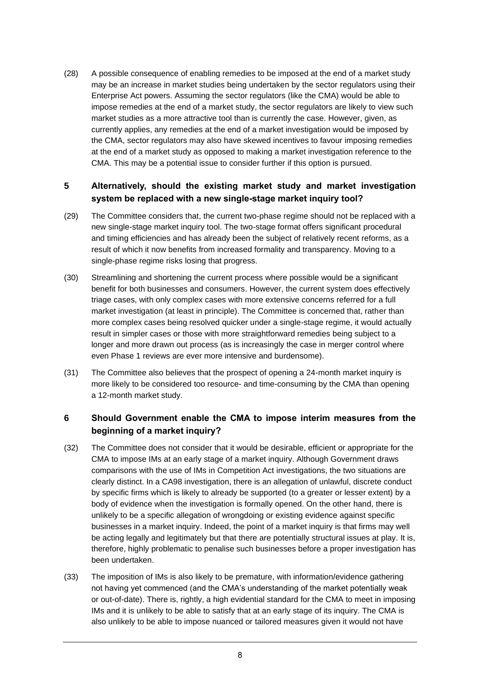(28) A possible consequence of enabling remedies to be imposed at the end of a market study may be an increase in market studies being undertaken by the sector regulators using their Enterprise Act powers. Assuming the sector regulators (like the CMA) would be able to impose remedies at the end of a market study, the sector regulators are likely to view such market studies as a more attractive tool than is currently the case. However, given, as currently applies, any remedies at the end of a market investigation would be imposed by the CMA, sector regulators may also have skewed incentives to favour imposing remedies at the end of a market study as opposed to making a market investigation reference to the CMA. This may be a potential issue to consider further if this option is pursued.

#### **5 Alternatively, should the existing market study and market investigation system be replaced with a new single-stage market inquiry tool?**

- (29) The Committee considers that, the current two-phase regime should not be replaced with a new single-stage market inquiry tool. The two-stage format offers significant procedural and timing efficiencies and has already been the subject of relatively recent reforms, as a result of which it now benefits from increased formality and transparency. Moving to a single-phase regime risks losing that progress.
- (30) Streamlining and shortening the current process where possible would be a significant benefit for both businesses and consumers. However, the current system does effectively triage cases, with only complex cases with more extensive concerns referred for a full market investigation (at least in principle). The Committee is concerned that, rather than more complex cases being resolved quicker under a single-stage regime, it would actually result in simpler cases or those with more straightforward remedies being subject to a longer and more drawn out process (as is increasingly the case in merger control where even Phase 1 reviews are ever more intensive and burdensome).
- (31) The Committee also believes that the prospect of opening a 24-month market inquiry is more likely to be considered too resource- and time-consuming by the CMA than opening a 12-month market study.

#### **6 Should Government enable the CMA to impose interim measures from the beginning of a market inquiry?**

- (32) The Committee does not consider that it would be desirable, efficient or appropriate for the CMA to impose IMs at an early stage of a market inquiry. Although Government draws comparisons with the use of IMs in Competition Act investigations, the two situations are clearly distinct. In a CA98 investigation, there is an allegation of unlawful, discrete conduct by specific firms which is likely to already be supported (to a greater or lesser extent) by a body of evidence when the investigation is formally opened. On the other hand, there is unlikely to be a specific allegation of wrongdoing or existing evidence against specific businesses in a market inquiry. Indeed, the point of a market inquiry is that firms may well be acting legally and legitimately but that there are potentially structural issues at play. It is, therefore, highly problematic to penalise such businesses before a proper investigation has been undertaken.
- (33) The imposition of IMs is also likely to be premature, with information/evidence gathering not having yet commenced (and the CMA's understanding of the market potentially weak or out-of-date). There is, rightly, a high evidential standard for the CMA to meet in imposing IMs and it is unlikely to be able to satisfy that at an early stage of its inquiry. The CMA is also unlikely to be able to impose nuanced or tailored measures given it would not have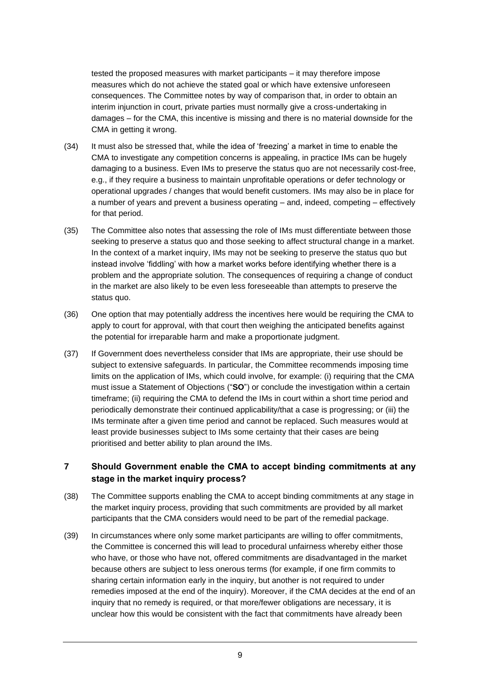tested the proposed measures with market participants – it may therefore impose measures which do not achieve the stated goal or which have extensive unforeseen consequences. The Committee notes by way of comparison that, in order to obtain an interim injunction in court, private parties must normally give a cross-undertaking in damages – for the CMA, this incentive is missing and there is no material downside for the CMA in getting it wrong.

- (34) It must also be stressed that, while the idea of 'freezing' a market in time to enable the CMA to investigate any competition concerns is appealing, in practice IMs can be hugely damaging to a business. Even IMs to preserve the status quo are not necessarily cost-free, e.g., if they require a business to maintain unprofitable operations or defer technology or operational upgrades / changes that would benefit customers. IMs may also be in place for a number of years and prevent a business operating – and, indeed, competing – effectively for that period.
- (35) The Committee also notes that assessing the role of IMs must differentiate between those seeking to preserve a status quo and those seeking to affect structural change in a market. In the context of a market inquiry, IMs may not be seeking to preserve the status quo but instead involve 'fiddling' with how a market works before identifying whether there is a problem and the appropriate solution. The consequences of requiring a change of conduct in the market are also likely to be even less foreseeable than attempts to preserve the status quo.
- (36) One option that may potentially address the incentives here would be requiring the CMA to apply to court for approval, with that court then weighing the anticipated benefits against the potential for irreparable harm and make a proportionate judgment.
- (37) If Government does nevertheless consider that IMs are appropriate, their use should be subject to extensive safeguards. In particular, the Committee recommends imposing time limits on the application of IMs, which could involve, for example: (i) requiring that the CMA must issue a Statement of Objections ("**SO**") or conclude the investigation within a certain timeframe; (ii) requiring the CMA to defend the IMs in court within a short time period and periodically demonstrate their continued applicability/that a case is progressing; or (iii) the IMs terminate after a given time period and cannot be replaced. Such measures would at least provide businesses subject to IMs some certainty that their cases are being prioritised and better ability to plan around the IMs.

#### **7 Should Government enable the CMA to accept binding commitments at any stage in the market inquiry process?**

- (38) The Committee supports enabling the CMA to accept binding commitments at any stage in the market inquiry process, providing that such commitments are provided by all market participants that the CMA considers would need to be part of the remedial package.
- (39) In circumstances where only some market participants are willing to offer commitments, the Committee is concerned this will lead to procedural unfairness whereby either those who have, or those who have not, offered commitments are disadvantaged in the market because others are subject to less onerous terms (for example, if one firm commits to sharing certain information early in the inquiry, but another is not required to under remedies imposed at the end of the inquiry). Moreover, if the CMA decides at the end of an inquiry that no remedy is required, or that more/fewer obligations are necessary, it is unclear how this would be consistent with the fact that commitments have already been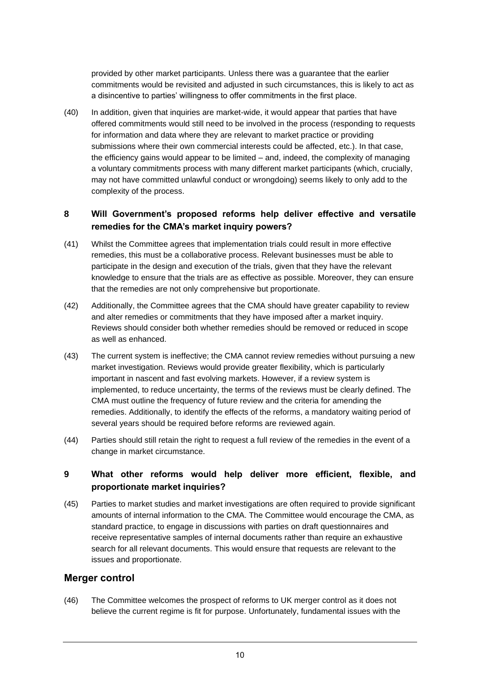provided by other market participants. Unless there was a guarantee that the earlier commitments would be revisited and adjusted in such circumstances, this is likely to act as a disincentive to parties' willingness to offer commitments in the first place.

(40) In addition, given that inquiries are market-wide, it would appear that parties that have offered commitments would still need to be involved in the process (responding to requests for information and data where they are relevant to market practice or providing submissions where their own commercial interests could be affected, etc.). In that case, the efficiency gains would appear to be limited – and, indeed, the complexity of managing a voluntary commitments process with many different market participants (which, crucially, may not have committed unlawful conduct or wrongdoing) seems likely to only add to the complexity of the process.

#### **8 Will Government's proposed reforms help deliver effective and versatile remedies for the CMA's market inquiry powers?**

- (41) Whilst the Committee agrees that implementation trials could result in more effective remedies, this must be a collaborative process. Relevant businesses must be able to participate in the design and execution of the trials, given that they have the relevant knowledge to ensure that the trials are as effective as possible. Moreover, they can ensure that the remedies are not only comprehensive but proportionate.
- (42) Additionally, the Committee agrees that the CMA should have greater capability to review and alter remedies or commitments that they have imposed after a market inquiry. Reviews should consider both whether remedies should be removed or reduced in scope as well as enhanced.
- (43) The current system is ineffective; the CMA cannot review remedies without pursuing a new market investigation. Reviews would provide greater flexibility, which is particularly important in nascent and fast evolving markets. However, if a review system is implemented, to reduce uncertainty, the terms of the reviews must be clearly defined. The CMA must outline the frequency of future review and the criteria for amending the remedies. Additionally, to identify the effects of the reforms, a mandatory waiting period of several years should be required before reforms are reviewed again.
- (44) Parties should still retain the right to request a full review of the remedies in the event of a change in market circumstance.

#### **9 What other reforms would help deliver more efficient, flexible, and proportionate market inquiries?**

(45) Parties to market studies and market investigations are often required to provide significant amounts of internal information to the CMA. The Committee would encourage the CMA, as standard practice, to engage in discussions with parties on draft questionnaires and receive representative samples of internal documents rather than require an exhaustive search for all relevant documents. This would ensure that requests are relevant to the issues and proportionate.

#### **Merger control**

(46) The Committee welcomes the prospect of reforms to UK merger control as it does not believe the current regime is fit for purpose. Unfortunately, fundamental issues with the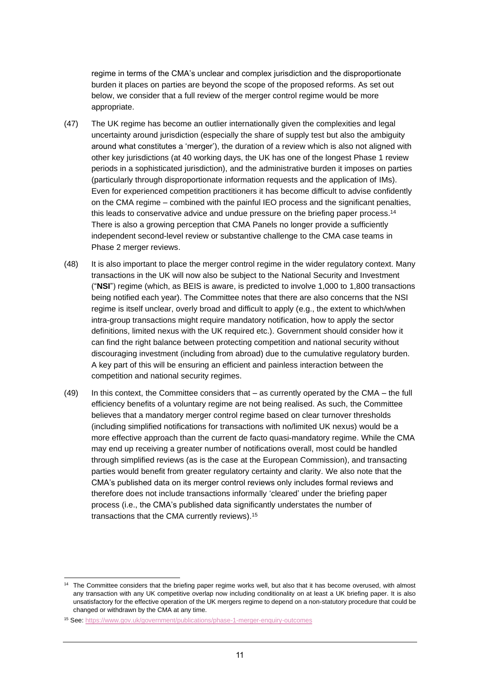regime in terms of the CMA's unclear and complex jurisdiction and the disproportionate burden it places on parties are beyond the scope of the proposed reforms. As set out below, we consider that a full review of the merger control regime would be more appropriate.

- (47) The UK regime has become an outlier internationally given the complexities and legal uncertainty around jurisdiction (especially the share of supply test but also the ambiguity around what constitutes a 'merger'), the duration of a review which is also not aligned with other key jurisdictions (at 40 working days, the UK has one of the longest Phase 1 review periods in a sophisticated jurisdiction), and the administrative burden it imposes on parties (particularly through disproportionate information requests and the application of IMs). Even for experienced competition practitioners it has become difficult to advise confidently on the CMA regime – combined with the painful IEO process and the significant penalties, this leads to conservative advice and undue pressure on the briefing paper process.<sup>14</sup> There is also a growing perception that CMA Panels no longer provide a sufficiently independent second-level review or substantive challenge to the CMA case teams in Phase 2 merger reviews.
- (48) It is also important to place the merger control regime in the wider regulatory context. Many transactions in the UK will now also be subject to the National Security and Investment ("**NSI**") regime (which, as BEIS is aware, is predicted to involve 1,000 to 1,800 transactions being notified each year). The Committee notes that there are also concerns that the NSI regime is itself unclear, overly broad and difficult to apply (e.g., the extent to which/when intra-group transactions might require mandatory notification, how to apply the sector definitions, limited nexus with the UK required etc.). Government should consider how it can find the right balance between protecting competition and national security without discouraging investment (including from abroad) due to the cumulative regulatory burden. A key part of this will be ensuring an efficient and painless interaction between the competition and national security regimes.
- (49) In this context, the Committee considers that as currently operated by the CMA the full efficiency benefits of a voluntary regime are not being realised. As such, the Committee believes that a mandatory merger control regime based on clear turnover thresholds (including simplified notifications for transactions with no/limited UK nexus) would be a more effective approach than the current de facto quasi-mandatory regime. While the CMA may end up receiving a greater number of notifications overall, most could be handled through simplified reviews (as is the case at the European Commission), and transacting parties would benefit from greater regulatory certainty and clarity. We also note that the CMA's published data on its merger control reviews only includes formal reviews and therefore does not include transactions informally 'cleared' under the briefing paper process (i.e., the CMA's published data significantly understates the number of transactions that the CMA currently reviews).<sup>15</sup>

The Committee considers that the briefing paper regime works well, but also that it has become overused, with almost any transaction with any UK competitive overlap now including conditionality on at least a UK briefing paper. It is also unsatisfactory for the effective operation of the UK mergers regime to depend on a non-statutory procedure that could be changed or withdrawn by the CMA at any time.

<sup>15</sup> See:<https://www.gov.uk/government/publications/phase-1-merger-enquiry-outcomes>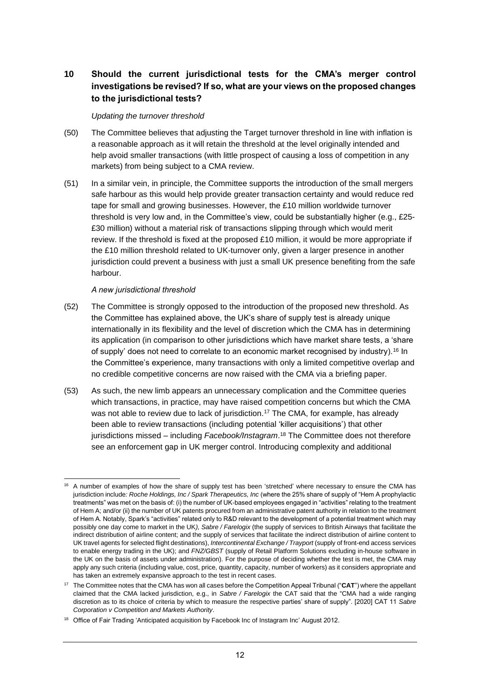# **10 Should the current jurisdictional tests for the CMA's merger control investigations be revised? If so, what are your views on the proposed changes to the jurisdictional tests?**

#### *Updating the turnover threshold*

- (50) The Committee believes that adjusting the Target turnover threshold in line with inflation is a reasonable approach as it will retain the threshold at the level originally intended and help avoid smaller transactions (with little prospect of causing a loss of competition in any markets) from being subject to a CMA review.
- (51) In a similar vein, in principle, the Committee supports the introduction of the small mergers safe harbour as this would help provide greater transaction certainty and would reduce red tape for small and growing businesses. However, the £10 million worldwide turnover threshold is very low and, in the Committee's view, could be substantially higher (e.g., £25- £30 million) without a material risk of transactions slipping through which would merit review. If the threshold is fixed at the proposed £10 million, it would be more appropriate if the £10 million threshold related to UK-turnover only, given a larger presence in another jurisdiction could prevent a business with just a small UK presence benefiting from the safe harbour.

#### *A new jurisdictional threshold*

- (52) The Committee is strongly opposed to the introduction of the proposed new threshold. As the Committee has explained above, the UK's share of supply test is already unique internationally in its flexibility and the level of discretion which the CMA has in determining its application (in comparison to other jurisdictions which have market share tests, a 'share of supply' does not need to correlate to an economic market recognised by industry).<sup>16</sup> In the Committee's experience, many transactions with only a limited competitive overlap and no credible competitive concerns are now raised with the CMA via a briefing paper.
- (53) As such, the new limb appears an unnecessary complication and the Committee queries which transactions, in practice, may have raised competition concerns but which the CMA was not able to review due to lack of jurisdiction.<sup>17</sup> The CMA, for example, has already been able to review transactions (including potential 'killer acquisitions') that other jurisdictions missed – including *Facebook/Instagram*. <sup>18</sup> The Committee does not therefore see an enforcement gap in UK merger control. Introducing complexity and additional

<sup>16</sup> A number of examples of how the share of supply test has been 'stretched' where necessary to ensure the CMA has jurisdiction include*: Roche Holdings, Inc / Spark Therapeutics, Inc* (where the 25% share of supply of "Hem A prophylactic treatments" was met on the basis of: (i) the number of UK-based employees engaged in "activities" relating to the treatment of Hem A; and/or (ii) the number of UK patents procured from an administrative patent authority in relation to the treatment of Hem A. Notably, Spark's "activities" related only to R&D relevant to the development of a potential treatment which may possibly one day come to market in the UK*), Sabre / Farelogix* (the supply of services to British Airways that facilitate the indirect distribution of airline content; and the supply of services that facilitate the indirect distribution of airline content to UK travel agents for selected flight destinations), *Intercontinental Exchange / Trayport* (supply of front-end access services to enable energy trading in the UK); and *FNZ/GBST* (supply of Retail Platform Solutions excluding in-house software in the UK on the basis of assets under administration). For the purpose of deciding whether the test is met, the CMA may apply any such criteria (including value, cost, price, quantity, capacity, number of workers) as it considers appropriate and has taken an extremely expansive approach to the test in recent cases.

<sup>17</sup> The Committee notes that the CMA has won all cases before the Competition Appeal Tribunal ("**CAT**") where the appellant claimed that the CMA lacked jurisdiction, e.g., in *Sabre / Farelogix* the CAT said that the "CMA had a wide ranging discretion as to its choice of criteria by which to measure the respective parties' share of supply". [2020] CAT 11 *Sabre Corporation v Competition and Markets Authority*.

<sup>&</sup>lt;sup>18</sup> Office of Fair Trading 'Anticipated acquisition by Facebook Inc of Instagram Inc' August 2012.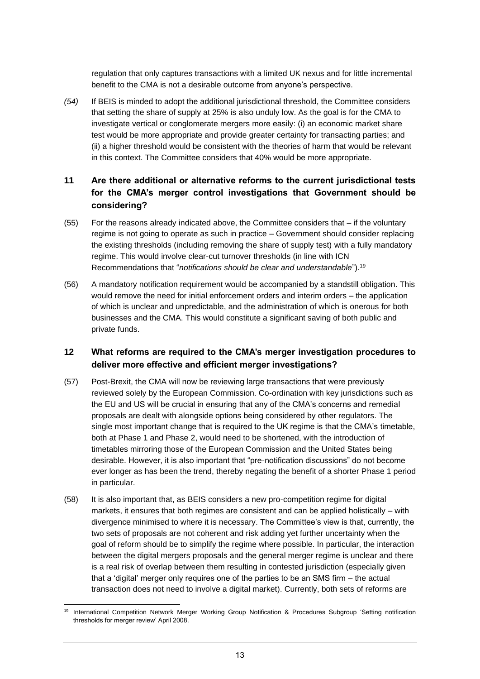regulation that only captures transactions with a limited UK nexus and for little incremental benefit to the CMA is not a desirable outcome from anyone's perspective.

*(54)* If BEIS is minded to adopt the additional jurisdictional threshold, the Committee considers that setting the share of supply at 25% is also unduly low. As the goal is for the CMA to investigate vertical or conglomerate mergers more easily: (i) an economic market share test would be more appropriate and provide greater certainty for transacting parties; and (ii) a higher threshold would be consistent with the theories of harm that would be relevant in this context. The Committee considers that 40% would be more appropriate.

#### **11 Are there additional or alternative reforms to the current jurisdictional tests for the CMA's merger control investigations that Government should be considering?**

- (55) For the reasons already indicated above, the Committee considers that if the voluntary regime is not going to operate as such in practice – Government should consider replacing the existing thresholds (including removing the share of supply test) with a fully mandatory regime. This would involve clear-cut turnover thresholds (in line with ICN Recommendations that "*notifications should be clear and understandable*"). 19
- (56) A mandatory notification requirement would be accompanied by a standstill obligation. This would remove the need for initial enforcement orders and interim orders – the application of which is unclear and unpredictable, and the administration of which is onerous for both businesses and the CMA. This would constitute a significant saving of both public and private funds.

## **12 What reforms are required to the CMA's merger investigation procedures to deliver more effective and efficient merger investigations?**

- (57) Post-Brexit, the CMA will now be reviewing large transactions that were previously reviewed solely by the European Commission. Co-ordination with key jurisdictions such as the EU and US will be crucial in ensuring that any of the CMA's concerns and remedial proposals are dealt with alongside options being considered by other regulators. The single most important change that is required to the UK regime is that the CMA's timetable, both at Phase 1 and Phase 2, would need to be shortened, with the introduction of timetables mirroring those of the European Commission and the United States being desirable. However, it is also important that "pre-notification discussions" do not become ever longer as has been the trend, thereby negating the benefit of a shorter Phase 1 period in particular.
- (58) It is also important that, as BEIS considers a new pro-competition regime for digital markets, it ensures that both regimes are consistent and can be applied holistically – with divergence minimised to where it is necessary. The Committee's view is that, currently, the two sets of proposals are not coherent and risk adding yet further uncertainty when the goal of reform should be to simplify the regime where possible. In particular, the interaction between the digital mergers proposals and the general merger regime is unclear and there is a real risk of overlap between them resulting in contested jurisdiction (especially given that a 'digital' merger only requires one of the parties to be an SMS firm – the actual transaction does not need to involve a digital market). Currently, both sets of reforms are

International Competition Network Merger Working Group Notification & Procedures Subgroup 'Setting notification thresholds for merger review' April 2008.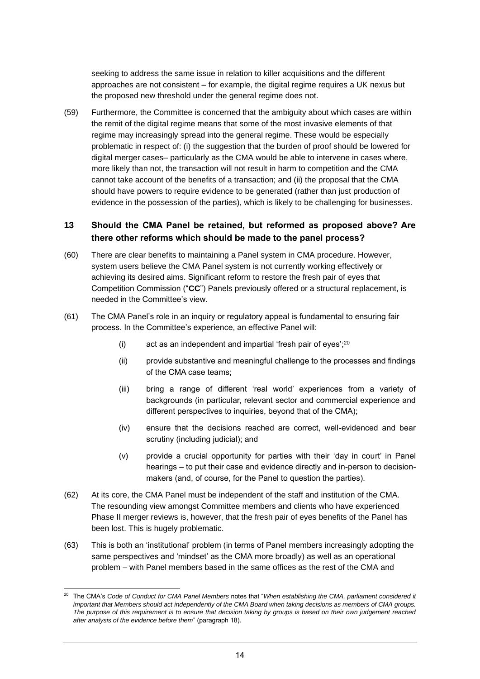seeking to address the same issue in relation to killer acquisitions and the different approaches are not consistent – for example, the digital regime requires a UK nexus but the proposed new threshold under the general regime does not.

(59) Furthermore, the Committee is concerned that the ambiguity about which cases are within the remit of the digital regime means that some of the most invasive elements of that regime may increasingly spread into the general regime. These would be especially problematic in respect of: (i) the suggestion that the burden of proof should be lowered for digital merger cases– particularly as the CMA would be able to intervene in cases where, more likely than not, the transaction will not result in harm to competition and the CMA cannot take account of the benefits of a transaction; and (ii) the proposal that the CMA should have powers to require evidence to be generated (rather than just production of evidence in the possession of the parties), which is likely to be challenging for businesses.

#### **13 Should the CMA Panel be retained, but reformed as proposed above? Are there other reforms which should be made to the panel process?**

- (60) There are clear benefits to maintaining a Panel system in CMA procedure. However, system users believe the CMA Panel system is not currently working effectively or achieving its desired aims. Significant reform to restore the fresh pair of eyes that Competition Commission ("**CC**") Panels previously offered or a structural replacement, is needed in the Committee's view.
- (61) The CMA Panel's role in an inquiry or regulatory appeal is fundamental to ensuring fair process. In the Committee's experience, an effective Panel will:
	- (i) act as an independent and impartial 'fresh pair of eyes'; $^{20}$
	- (ii) provide substantive and meaningful challenge to the processes and findings of the CMA case teams;
	- (iii) bring a range of different 'real world' experiences from a variety of backgrounds (in particular, relevant sector and commercial experience and different perspectives to inquiries, beyond that of the CMA);
	- (iv) ensure that the decisions reached are correct, well-evidenced and bear scrutiny (including judicial); and
	- (v) provide a crucial opportunity for parties with their 'day in court' in Panel hearings – to put their case and evidence directly and in-person to decisionmakers (and, of course, for the Panel to question the parties).
- (62) At its core, the CMA Panel must be independent of the staff and institution of the CMA. The resounding view amongst Committee members and clients who have experienced Phase II merger reviews is, however, that the fresh pair of eyes benefits of the Panel has been lost. This is hugely problematic.
- (63) This is both an 'institutional' problem (in terms of Panel members increasingly adopting the same perspectives and 'mindset' as the CMA more broadly) as well as an operational problem – with Panel members based in the same offices as the rest of the CMA and

<sup>20</sup> The CMA's *Code of Conduct for CMA Panel Members* notes that "*When establishing the CMA, parliament considered it important that Members should act independently of the CMA Board when taking decisions as members of CMA groups. The purpose of this requirement is to ensure that decision taking by groups is based on their own judgement reached after analysis of the evidence before them*" (paragraph 18).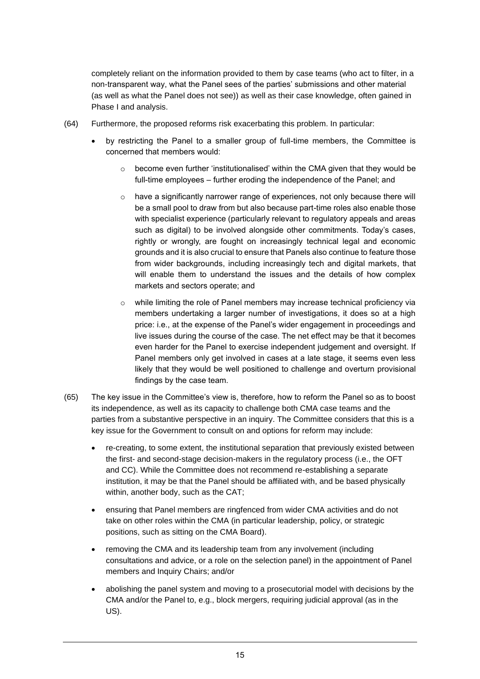completely reliant on the information provided to them by case teams (who act to filter, in a non-transparent way, what the Panel sees of the parties' submissions and other material (as well as what the Panel does not see)) as well as their case knowledge, often gained in Phase I and analysis.

- (64) Furthermore, the proposed reforms risk exacerbating this problem. In particular:
	- by restricting the Panel to a smaller group of full-time members, the Committee is concerned that members would:
		- $\circ$  become even further 'institutionalised' within the CMA given that they would be full-time employees – further eroding the independence of the Panel; and
		- $\circ$  have a significantly narrower range of experiences, not only because there will be a small pool to draw from but also because part-time roles also enable those with specialist experience (particularly relevant to regulatory appeals and areas such as digital) to be involved alongside other commitments. Today's cases, rightly or wrongly, are fought on increasingly technical legal and economic grounds and it is also crucial to ensure that Panels also continue to feature those from wider backgrounds, including increasingly tech and digital markets, that will enable them to understand the issues and the details of how complex markets and sectors operate; and
		- $\circ$  while limiting the role of Panel members may increase technical proficiency via members undertaking a larger number of investigations, it does so at a high price: i.e., at the expense of the Panel's wider engagement in proceedings and live issues during the course of the case. The net effect may be that it becomes even harder for the Panel to exercise independent judgement and oversight. If Panel members only get involved in cases at a late stage, it seems even less likely that they would be well positioned to challenge and overturn provisional findings by the case team.
- (65) The key issue in the Committee's view is, therefore, how to reform the Panel so as to boost its independence, as well as its capacity to challenge both CMA case teams and the parties from a substantive perspective in an inquiry. The Committee considers that this is a key issue for the Government to consult on and options for reform may include:
	- re-creating, to some extent, the institutional separation that previously existed between the first- and second-stage decision-makers in the regulatory process (i.e., the OFT and CC). While the Committee does not recommend re-establishing a separate institution, it may be that the Panel should be affiliated with, and be based physically within, another body, such as the CAT;
	- ensuring that Panel members are ringfenced from wider CMA activities and do not take on other roles within the CMA (in particular leadership, policy, or strategic positions, such as sitting on the CMA Board).
	- removing the CMA and its leadership team from any involvement (including consultations and advice, or a role on the selection panel) in the appointment of Panel members and Inquiry Chairs; and/or
	- abolishing the panel system and moving to a prosecutorial model with decisions by the CMA and/or the Panel to, e.g., block mergers, requiring judicial approval (as in the US).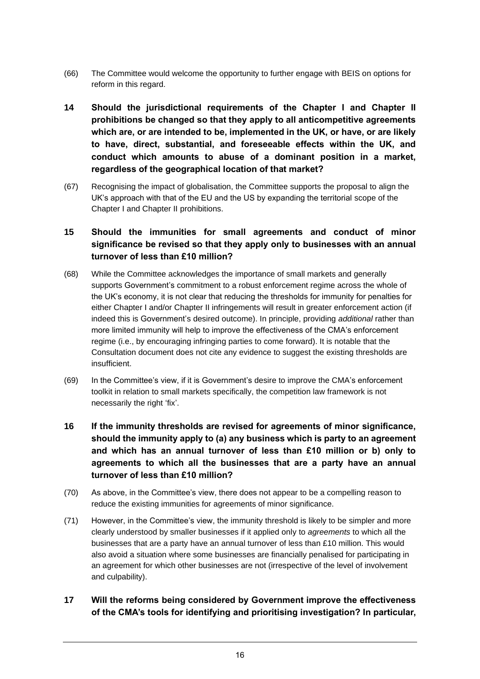- (66) The Committee would welcome the opportunity to further engage with BEIS on options for reform in this regard.
- **14 Should the jurisdictional requirements of the Chapter I and Chapter II prohibitions be changed so that they apply to all anticompetitive agreements which are, or are intended to be, implemented in the UK, or have, or are likely to have, direct, substantial, and foreseeable effects within the UK, and conduct which amounts to abuse of a dominant position in a market, regardless of the geographical location of that market?**
- (67) Recognising the impact of globalisation, the Committee supports the proposal to align the UK's approach with that of the EU and the US by expanding the territorial scope of the Chapter I and Chapter II prohibitions.

## **15 Should the immunities for small agreements and conduct of minor significance be revised so that they apply only to businesses with an annual turnover of less than £10 million?**

- (68) While the Committee acknowledges the importance of small markets and generally supports Government's commitment to a robust enforcement regime across the whole of the UK's economy, it is not clear that reducing the thresholds for immunity for penalties for either Chapter I and/or Chapter II infringements will result in greater enforcement action (if indeed this is Government's desired outcome). In principle, providing *additional* rather than more limited immunity will help to improve the effectiveness of the CMA's enforcement regime (i.e., by encouraging infringing parties to come forward). It is notable that the Consultation document does not cite any evidence to suggest the existing thresholds are insufficient.
- (69) In the Committee's view, if it is Government's desire to improve the CMA's enforcement toolkit in relation to small markets specifically, the competition law framework is not necessarily the right 'fix'.
- **16 If the immunity thresholds are revised for agreements of minor significance, should the immunity apply to (a) any business which is party to an agreement and which has an annual turnover of less than £10 million or b) only to agreements to which all the businesses that are a party have an annual turnover of less than £10 million?**
- (70) As above, in the Committee's view, there does not appear to be a compelling reason to reduce the existing immunities for agreements of minor significance.
- (71) However, in the Committee's view, the immunity threshold is likely to be simpler and more clearly understood by smaller businesses if it applied only to *agreements* to which all the businesses that are a party have an annual turnover of less than £10 million. This would also avoid a situation where some businesses are financially penalised for participating in an agreement for which other businesses are not (irrespective of the level of involvement and culpability).

## **17 Will the reforms being considered by Government improve the effectiveness of the CMA's tools for identifying and prioritising investigation? In particular,**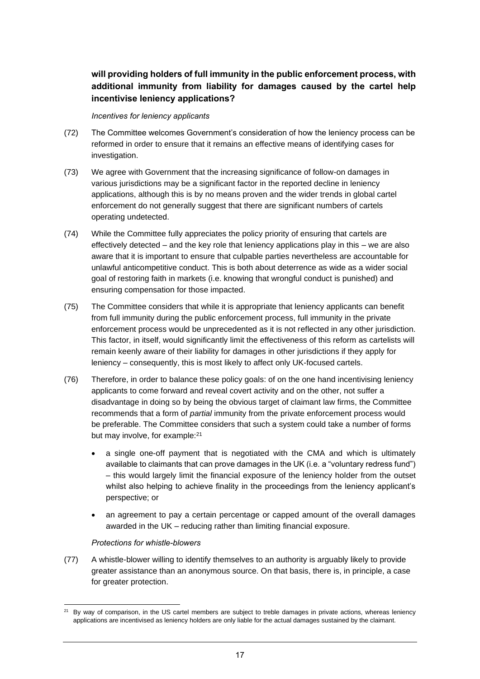# **will providing holders of full immunity in the public enforcement process, with additional immunity from liability for damages caused by the cartel help incentivise leniency applications?**

#### *Incentives for leniency applicants*

- (72) The Committee welcomes Government's consideration of how the leniency process can be reformed in order to ensure that it remains an effective means of identifying cases for investigation.
- (73) We agree with Government that the increasing significance of follow-on damages in various jurisdictions may be a significant factor in the reported decline in leniency applications, although this is by no means proven and the wider trends in global cartel enforcement do not generally suggest that there are significant numbers of cartels operating undetected.
- (74) While the Committee fully appreciates the policy priority of ensuring that cartels are effectively detected – and the key role that leniency applications play in this – we are also aware that it is important to ensure that culpable parties nevertheless are accountable for unlawful anticompetitive conduct. This is both about deterrence as wide as a wider social goal of restoring faith in markets (i.e. knowing that wrongful conduct is punished) and ensuring compensation for those impacted.
- (75) The Committee considers that while it is appropriate that leniency applicants can benefit from full immunity during the public enforcement process, full immunity in the private enforcement process would be unprecedented as it is not reflected in any other jurisdiction. This factor, in itself, would significantly limit the effectiveness of this reform as cartelists will remain keenly aware of their liability for damages in other jurisdictions if they apply for leniency – consequently, this is most likely to affect only UK-focused cartels.
- (76) Therefore, in order to balance these policy goals: of on the one hand incentivising leniency applicants to come forward and reveal covert activity and on the other, not suffer a disadvantage in doing so by being the obvious target of claimant law firms, the Committee recommends that a form of *partial* immunity from the private enforcement process would be preferable. The Committee considers that such a system could take a number of forms but may involve, for example:<sup>21</sup>
	- a single one-off payment that is negotiated with the CMA and which is ultimately available to claimants that can prove damages in the UK (i.e. a "voluntary redress fund") – this would largely limit the financial exposure of the leniency holder from the outset whilst also helping to achieve finality in the proceedings from the leniency applicant's perspective; or
	- an agreement to pay a certain percentage or capped amount of the overall damages awarded in the UK – reducing rather than limiting financial exposure.

#### *Protections for whistle-blowers*

(77) A whistle-blower willing to identify themselves to an authority is arguably likely to provide greater assistance than an anonymous source. On that basis, there is, in principle, a case for greater protection.

By way of comparison, in the US cartel members are subject to treble damages in private actions, whereas leniency applications are incentivised as leniency holders are only liable for the actual damages sustained by the claimant.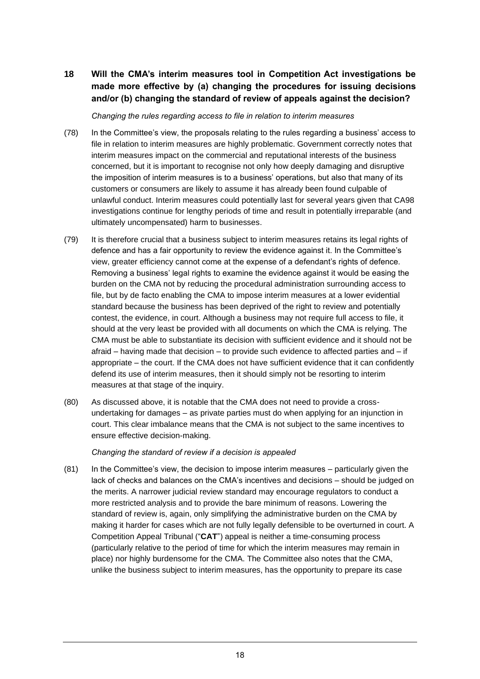**18 Will the CMA's interim measures tool in Competition Act investigations be made more effective by (a) changing the procedures for issuing decisions and/or (b) changing the standard of review of appeals against the decision?**

*Changing the rules regarding access to file in relation to interim measures*

- (78) In the Committee's view, the proposals relating to the rules regarding a business' access to file in relation to interim measures are highly problematic. Government correctly notes that interim measures impact on the commercial and reputational interests of the business concerned, but it is important to recognise not only how deeply damaging and disruptive the imposition of interim measures is to a business' operations, but also that many of its customers or consumers are likely to assume it has already been found culpable of unlawful conduct. Interim measures could potentially last for several years given that CA98 investigations continue for lengthy periods of time and result in potentially irreparable (and ultimately uncompensated) harm to businesses.
- (79) It is therefore crucial that a business subject to interim measures retains its legal rights of defence and has a fair opportunity to review the evidence against it. In the Committee's view, greater efficiency cannot come at the expense of a defendant's rights of defence. Removing a business' legal rights to examine the evidence against it would be easing the burden on the CMA not by reducing the procedural administration surrounding access to file, but by de facto enabling the CMA to impose interim measures at a lower evidential standard because the business has been deprived of the right to review and potentially contest, the evidence, in court. Although a business may not require full access to file, it should at the very least be provided with all documents on which the CMA is relying. The CMA must be able to substantiate its decision with sufficient evidence and it should not be afraid – having made that decision – to provide such evidence to affected parties and – if appropriate – the court. If the CMA does not have sufficient evidence that it can confidently defend its use of interim measures, then it should simply not be resorting to interim measures at that stage of the inquiry.
- (80) As discussed above, it is notable that the CMA does not need to provide a crossundertaking for damages – as private parties must do when applying for an injunction in court. This clear imbalance means that the CMA is not subject to the same incentives to ensure effective decision-making.

*Changing the standard of review if a decision is appealed*

(81) In the Committee's view, the decision to impose interim measures – particularly given the lack of checks and balances on the CMA's incentives and decisions – should be judged on the merits. A narrower judicial review standard may encourage regulators to conduct a more restricted analysis and to provide the bare minimum of reasons. Lowering the standard of review is, again, only simplifying the administrative burden on the CMA by making it harder for cases which are not fully legally defensible to be overturned in court. A Competition Appeal Tribunal ("**CAT**") appeal is neither a time-consuming process (particularly relative to the period of time for which the interim measures may remain in place) nor highly burdensome for the CMA. The Committee also notes that the CMA, unlike the business subject to interim measures, has the opportunity to prepare its case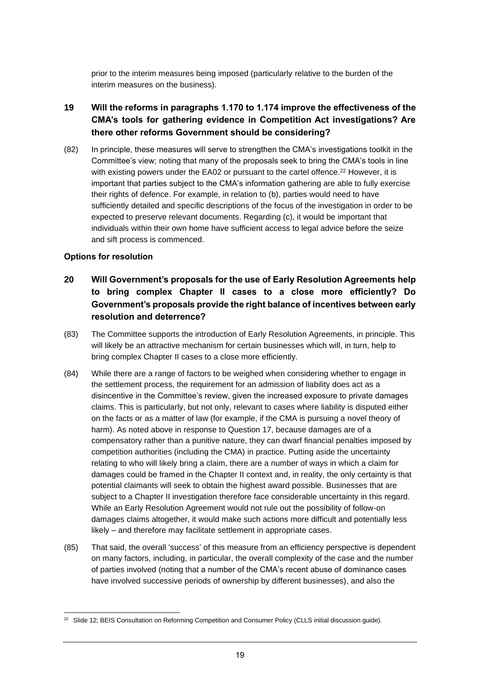prior to the interim measures being imposed (particularly relative to the burden of the interim measures on the business).

## **19 Will the reforms in paragraphs 1.170 to 1.174 improve the effectiveness of the CMA's tools for gathering evidence in Competition Act investigations? Are there other reforms Government should be considering?**

(82) In principle, these measures will serve to strengthen the CMA's investigations toolkit in the Committee's view; noting that many of the proposals seek to bring the CMA's tools in line with existing powers under the EA02 or pursuant to the cartel offence.<sup>22</sup> However, it is important that parties subject to the CMA's information gathering are able to fully exercise their rights of defence. For example, in relation to (b), parties would need to have sufficiently detailed and specific descriptions of the focus of the investigation in order to be expected to preserve relevant documents. Regarding (c), it would be important that individuals within their own home have sufficient access to legal advice before the seize and sift process is commenced.

#### **Options for resolution**

- **20 Will Government's proposals for the use of Early Resolution Agreements help to bring complex Chapter II cases to a close more efficiently? Do Government's proposals provide the right balance of incentives between early resolution and deterrence?**
- (83) The Committee supports the introduction of Early Resolution Agreements, in principle. This will likely be an attractive mechanism for certain businesses which will, in turn, help to bring complex Chapter II cases to a close more efficiently.
- (84) While there are a range of factors to be weighed when considering whether to engage in the settlement process, the requirement for an admission of liability does act as a disincentive in the Committee's review, given the increased exposure to private damages claims. This is particularly, but not only, relevant to cases where liability is disputed either on the facts or as a matter of law (for example, if the CMA is pursuing a novel theory of harm). As noted above in response to Question 17, because damages are of a compensatory rather than a punitive nature, they can dwarf financial penalties imposed by competition authorities (including the CMA) in practice. Putting aside the uncertainty relating to who will likely bring a claim, there are a number of ways in which a claim for damages could be framed in the Chapter II context and, in reality, the only certainty is that potential claimants will seek to obtain the highest award possible. Businesses that are subject to a Chapter II investigation therefore face considerable uncertainty in this regard. While an Early Resolution Agreement would not rule out the possibility of follow-on damages claims altogether, it would make such actions more difficult and potentially less likely – and therefore may facilitate settlement in appropriate cases.
- (85) That said, the overall 'success' of this measure from an efficiency perspective is dependent on many factors, including, in particular, the overall complexity of the case and the number of parties involved (noting that a number of the CMA's recent abuse of dominance cases have involved successive periods of ownership by different businesses), and also the

 $22$  Slide 12; BEIS Consultation on Reforming Competition and Consumer Policy (CLLS initial discussion guide).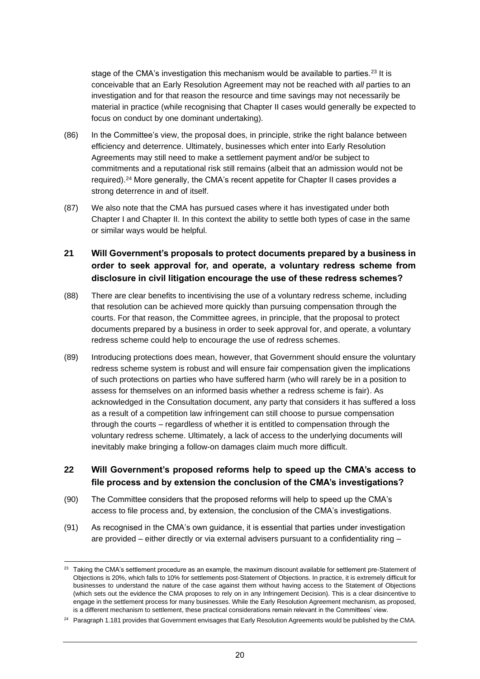stage of the CMA's investigation this mechanism would be available to parties.<sup>23</sup> It is conceivable that an Early Resolution Agreement may not be reached with *all* parties to an investigation and for that reason the resource and time savings may not necessarily be material in practice (while recognising that Chapter II cases would generally be expected to focus on conduct by one dominant undertaking).

- (86) In the Committee's view, the proposal does, in principle, strike the right balance between efficiency and deterrence. Ultimately, businesses which enter into Early Resolution Agreements may still need to make a settlement payment and/or be subject to commitments and a reputational risk still remains (albeit that an admission would not be required).<sup>24</sup> More generally, the CMA's recent appetite for Chapter II cases provides a strong deterrence in and of itself.
- (87) We also note that the CMA has pursued cases where it has investigated under both Chapter I and Chapter II. In this context the ability to settle both types of case in the same or similar ways would be helpful.

# **21 Will Government's proposals to protect documents prepared by a business in order to seek approval for, and operate, a voluntary redress scheme from disclosure in civil litigation encourage the use of these redress schemes?**

- (88) There are clear benefits to incentivising the use of a voluntary redress scheme, including that resolution can be achieved more quickly than pursuing compensation through the courts. For that reason, the Committee agrees, in principle, that the proposal to protect documents prepared by a business in order to seek approval for, and operate, a voluntary redress scheme could help to encourage the use of redress schemes.
- (89) Introducing protections does mean, however, that Government should ensure the voluntary redress scheme system is robust and will ensure fair compensation given the implications of such protections on parties who have suffered harm (who will rarely be in a position to assess for themselves on an informed basis whether a redress scheme is fair). As acknowledged in the Consultation document, any party that considers it has suffered a loss as a result of a competition law infringement can still choose to pursue compensation through the courts – regardless of whether it is entitled to compensation through the voluntary redress scheme. Ultimately, a lack of access to the underlying documents will inevitably make bringing a follow-on damages claim much more difficult.

#### **22 Will Government's proposed reforms help to speed up the CMA's access to file process and by extension the conclusion of the CMA's investigations?**

- (90) The Committee considers that the proposed reforms will help to speed up the CMA's access to file process and, by extension, the conclusion of the CMA's investigations.
- (91) As recognised in the CMA's own guidance, it is essential that parties under investigation are provided – either directly or via external advisers pursuant to a confidentiality ring –

<sup>&</sup>lt;sup>23</sup> Taking the CMA's settlement procedure as an example, the maximum discount available for settlement pre-Statement of Objections is 20%, which falls to 10% for settlements post-Statement of Objections. In practice, it is extremely difficult for businesses to understand the nature of the case against them without having access to the Statement of Objections (which sets out the evidence the CMA proposes to rely on in any Infringement Decision). This is a clear disincentive to engage in the settlement process for many businesses. While the Early Resolution Agreement mechanism, as proposed, is a different mechanism to settlement, these practical considerations remain relevant in the Committees' view.

<sup>&</sup>lt;sup>24</sup> Paragraph 1.181 provides that Government envisages that Early Resolution Agreements would be published by the CMA.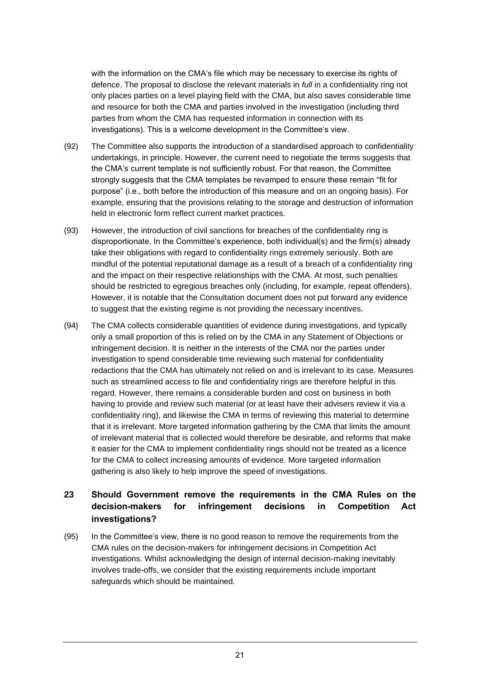with the information on the CMA's file which may be necessary to exercise its rights of defence. The proposal to disclose the relevant materials in *full* in a confidentiality ring not only places parties on a level playing field with the CMA, but also saves considerable time and resource for both the CMA and parties involved in the investigation (including third parties from whom the CMA has requested information in connection with its investigations). This is a welcome development in the Committee's view.

- (92) The Committee also supports the introduction of a standardised approach to confidentiality undertakings, in principle. However, the current need to negotiate the terms suggests that the CMA's current template is not sufficiently robust. For that reason, the Committee strongly suggests that the CMA templates be revamped to ensure these remain "fit for purpose" (i.e., both before the introduction of this measure and on an ongoing basis). For example, ensuring that the provisions relating to the storage and destruction of information held in electronic form reflect current market practices.
- (93) However, the introduction of civil sanctions for breaches of the confidentiality ring is disproportionate. In the Committee's experience, both individual(s) and the firm(s) already take their obligations with regard to confidentiality rings extremely seriously. Both are mindful of the potential reputational damage as a result of a breach of a confidentiality ring and the impact on their respective relationships with the CMA. At most, such penalties should be restricted to egregious breaches only (including, for example, repeat offenders). However, it is notable that the Consultation document does not put forward any evidence to suggest that the existing regime is not providing the necessary incentives.
- (94) The CMA collects considerable quantities of evidence during investigations, and typically only a small proportion of this is relied on by the CMA in any Statement of Objections or infringement decision. It is neither in the interests of the CMA nor the parties under investigation to spend considerable time reviewing such material for confidentiality redactions that the CMA has ultimately not relied on and is irrelevant to its case. Measures such as streamlined access to file and confidentiality rings are therefore helpful in this regard. However, there remains a considerable burden and cost on business in both having to provide and review such material (or at least have their advisers review it via a confidentiality ring), and likewise the CMA in terms of reviewing this material to determine that it is irrelevant. More targeted information gathering by the CMA that limits the amount of irrelevant material that is collected would therefore be desirable, and reforms that make it easier for the CMA to implement confidentiality rings should not be treated as a licence for the CMA to collect increasing amounts of evidence. More targeted information gathering is also likely to help improve the speed of investigations.

## **23 Should Government remove the requirements in the CMA Rules on the decision-makers for infringement decisions in Competition Act investigations?**

(95) In the Committee's view, there is no good reason to remove the requirements from the CMA rules on the decision-makers for infringement decisions in Competition Act investigations. Whilst acknowledging the design of internal decision-making inevitably involves trade-offs, we consider that the existing requirements include important safeguards which should be maintained.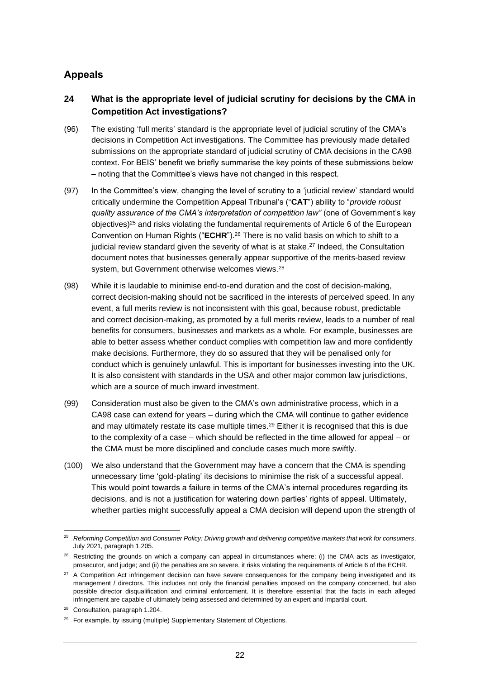# **Appeals**

## **24 What is the appropriate level of judicial scrutiny for decisions by the CMA in Competition Act investigations?**

- (96) The existing 'full merits' standard is the appropriate level of judicial scrutiny of the CMA's decisions in Competition Act investigations. The Committee has previously made detailed submissions on the appropriate standard of judicial scrutiny of CMA decisions in the CA98 context. For BEIS' benefit we briefly summarise the key points of these submissions below – noting that the Committee's views have not changed in this respect.
- (97) In the Committee's view, changing the level of scrutiny to a 'judicial review' standard would critically undermine the Competition Appeal Tribunal's ("**CAT**") ability to "*provide robust quality assurance of the CMA's interpretation of competition law"* (one of Government's key objectives)<sup>25</sup> and risks violating the fundamental requirements of Article 6 of the European Convention on Human Rights ("**ECHR**").<sup>26</sup> There is no valid basis on which to shift to a judicial review standard given the severity of what is at stake.<sup>27</sup> Indeed, the Consultation document notes that businesses generally appear supportive of the merits-based review system, but Government otherwise welcomes views.<sup>28</sup>
- (98) While it is laudable to minimise end-to-end duration and the cost of decision-making, correct decision-making should not be sacrificed in the interests of perceived speed. In any event, a full merits review is not inconsistent with this goal, because robust, predictable and correct decision-making, as promoted by a full merits review, leads to a number of real benefits for consumers, businesses and markets as a whole. For example, businesses are able to better assess whether conduct complies with competition law and more confidently make decisions. Furthermore, they do so assured that they will be penalised only for conduct which is genuinely unlawful. This is important for businesses investing into the UK. It is also consistent with standards in the USA and other major common law jurisdictions, which are a source of much inward investment.
- (99) Consideration must also be given to the CMA's own administrative process, which in a CA98 case can extend for years – during which the CMA will continue to gather evidence and may ultimately restate its case multiple times.<sup>29</sup> Either it is recognised that this is due to the complexity of a case – which should be reflected in the time allowed for appeal – or the CMA must be more disciplined and conclude cases much more swiftly.
- (100) We also understand that the Government may have a concern that the CMA is spending unnecessary time 'gold-plating' its decisions to minimise the risk of a successful appeal. This would point towards a failure in terms of the CMA's internal procedures regarding its decisions, and is not a justification for watering down parties' rights of appeal. Ultimately, whether parties might successfully appeal a CMA decision will depend upon the strength of

<sup>25</sup> *Reforming Competition and Consumer Policy: Driving growth and delivering competitive markets that work for consumers*, July 2021, paragraph 1.205.

 $26$  Restricting the grounds on which a company can appeal in circumstances where: (i) the CMA acts as investigator, prosecutor, and judge; and (ii) the penalties are so severe, it risks violating the requirements of Article 6 of the ECHR.

<sup>&</sup>lt;sup>27</sup> A Competition Act infringement decision can have severe consequences for the company being investigated and its management / directors. This includes not only the financial penalties imposed on the company concerned, but also possible director disqualification and criminal enforcement. It is therefore essential that the facts in each alleged infringement are capable of ultimately being assessed and determined by an expert and impartial court.

<sup>&</sup>lt;sup>28</sup> Consultation, paragraph 1.204.

<sup>&</sup>lt;sup>29</sup> For example, by issuing (multiple) Supplementary Statement of Objections.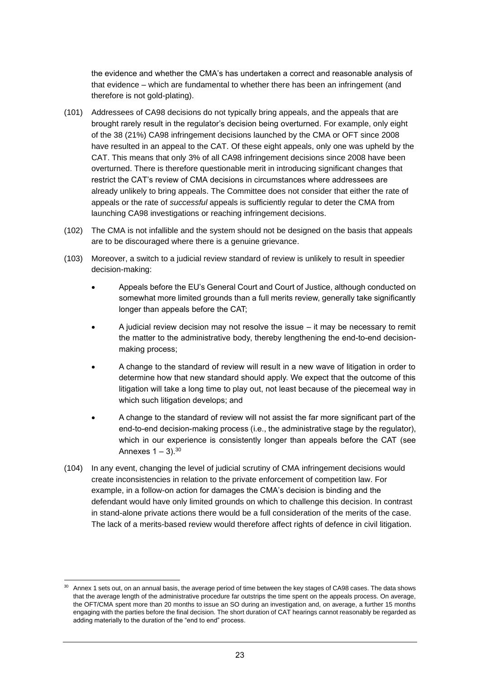the evidence and whether the CMA's has undertaken a correct and reasonable analysis of that evidence – which are fundamental to whether there has been an infringement (and therefore is not gold-plating).

- (101) Addressees of CA98 decisions do not typically bring appeals, and the appeals that are brought rarely result in the regulator's decision being overturned. For example, only eight of the 38 (21%) CA98 infringement decisions launched by the CMA or OFT since 2008 have resulted in an appeal to the CAT. Of these eight appeals, only one was upheld by the CAT. This means that only 3% of all CA98 infringement decisions since 2008 have been overturned. There is therefore questionable merit in introducing significant changes that restrict the CAT's review of CMA decisions in circumstances where addressees are already unlikely to bring appeals. The Committee does not consider that either the rate of appeals or the rate of *successful* appeals is sufficiently regular to deter the CMA from launching CA98 investigations or reaching infringement decisions.
- (102) The CMA is not infallible and the system should not be designed on the basis that appeals are to be discouraged where there is a genuine grievance.
- (103) Moreover, a switch to a judicial review standard of review is unlikely to result in speedier decision-making:
	- Appeals before the EU's General Court and Court of Justice, although conducted on somewhat more limited grounds than a full merits review, generally take significantly longer than appeals before the CAT;
	- A judicial review decision may not resolve the issue it may be necessary to remit the matter to the administrative body, thereby lengthening the end-to-end decisionmaking process;
	- A change to the standard of review will result in a new wave of litigation in order to determine how that new standard should apply. We expect that the outcome of this litigation will take a long time to play out, not least because of the piecemeal way in which such litigation develops; and
	- A change to the standard of review will not assist the far more significant part of the end-to-end decision-making process (i.e., the administrative stage by the regulator), which in our experience is consistently longer than appeals before the CAT (see Annexes  $1 - 3$ ).  $30$
- (104) In any event, changing the level of judicial scrutiny of CMA infringement decisions would create inconsistencies in relation to the private enforcement of competition law. For example, in a follow-on action for damages the CMA's decision is binding and the defendant would have only limited grounds on which to challenge this decision. In contrast in stand-alone private actions there would be a full consideration of the merits of the case. The lack of a merits-based review would therefore affect rights of defence in civil litigation.

 $30$  Annex 1 sets out, on an annual basis, the average period of time between the key stages of CA98 cases. The data shows that the average length of the administrative procedure far outstrips the time spent on the appeals process. On average, the OFT/CMA spent more than 20 months to issue an SO during an investigation and, on average, a further 15 months engaging with the parties before the final decision. The short duration of CAT hearings cannot reasonably be regarded as adding materially to the duration of the "end to end" process.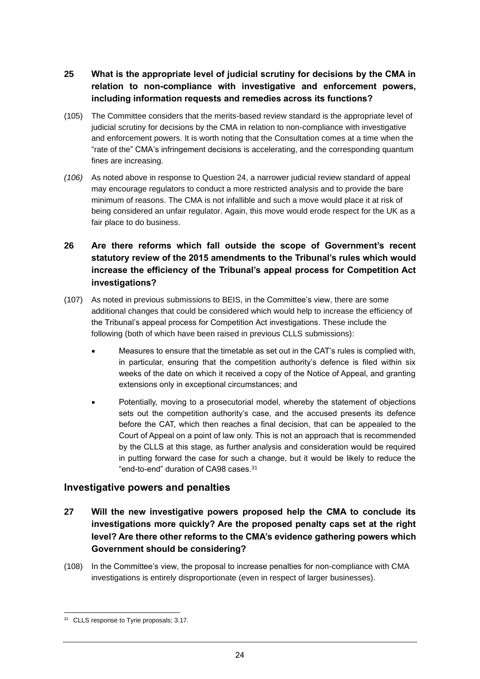- **25 What is the appropriate level of judicial scrutiny for decisions by the CMA in relation to non-compliance with investigative and enforcement powers, including information requests and remedies across its functions?**
- (105) The Committee considers that the merits-based review standard is the appropriate level of judicial scrutiny for decisions by the CMA in relation to non-compliance with investigative and enforcement powers. It is worth noting that the Consultation comes at a time when the "rate of the" CMA's infringement decisions is accelerating, and the corresponding quantum fines are increasing.
- *(106)* As noted above in response to Question 24, a narrower judicial review standard of appeal may encourage regulators to conduct a more restricted analysis and to provide the bare minimum of reasons. The CMA is not infallible and such a move would place it at risk of being considered an unfair regulator. Again, this move would erode respect for the UK as a fair place to do business.
- **26 Are there reforms which fall outside the scope of Government's recent statutory review of the 2015 amendments to the Tribunal's rules which would increase the efficiency of the Tribunal's appeal process for Competition Act investigations?**
- (107) As noted in previous submissions to BEIS, in the Committee's view, there are some additional changes that could be considered which would help to increase the efficiency of the Tribunal's appeal process for Competition Act investigations. These include the following (both of which have been raised in previous CLLS submissions):
	- Measures to ensure that the timetable as set out in the CAT's rules is complied with, in particular, ensuring that the competition authority's defence is filed within six weeks of the date on which it received a copy of the Notice of Appeal, and granting extensions only in exceptional circumstances; and
	- Potentially, moving to a prosecutorial model, whereby the statement of objections sets out the competition authority's case, and the accused presents its defence before the CAT, which then reaches a final decision, that can be appealed to the Court of Appeal on a point of law only. This is not an approach that is recommended by the CLLS at this stage, as further analysis and consideration would be required in putting forward the case for such a change, but it would be likely to reduce the "end-to-end" duration of CA98 cases.<sup>31</sup>

# **Investigative powers and penalties**

- **27 Will the new investigative powers proposed help the CMA to conclude its investigations more quickly? Are the proposed penalty caps set at the right level? Are there other reforms to the CMA's evidence gathering powers which Government should be considering?**
- (108) In the Committee's view, the proposal to increase penalties for non-compliance with CMA investigations is entirely disproportionate (even in respect of larger businesses).

<sup>&</sup>lt;sup>31</sup> CLLS response to Tyrie proposals; 3.17.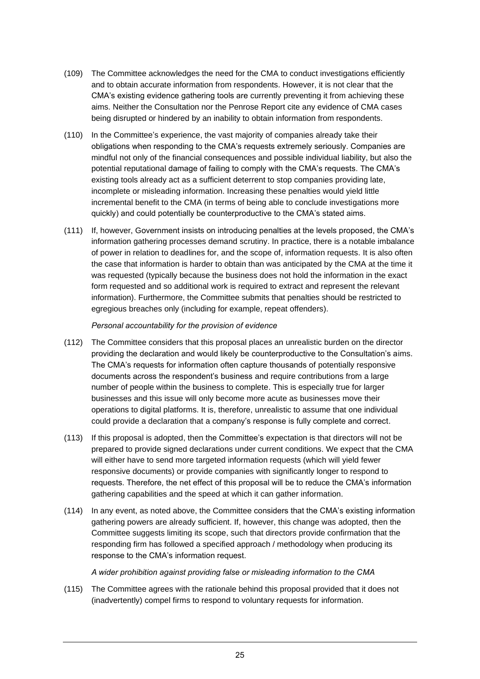- (109) The Committee acknowledges the need for the CMA to conduct investigations efficiently and to obtain accurate information from respondents. However, it is not clear that the CMA's existing evidence gathering tools are currently preventing it from achieving these aims. Neither the Consultation nor the Penrose Report cite any evidence of CMA cases being disrupted or hindered by an inability to obtain information from respondents.
- (110) In the Committee's experience, the vast majority of companies already take their obligations when responding to the CMA's requests extremely seriously. Companies are mindful not only of the financial consequences and possible individual liability, but also the potential reputational damage of failing to comply with the CMA's requests. The CMA's existing tools already act as a sufficient deterrent to stop companies providing late, incomplete or misleading information. Increasing these penalties would yield little incremental benefit to the CMA (in terms of being able to conclude investigations more quickly) and could potentially be counterproductive to the CMA's stated aims.
- (111) If, however, Government insists on introducing penalties at the levels proposed, the CMA's information gathering processes demand scrutiny. In practice, there is a notable imbalance of power in relation to deadlines for, and the scope of, information requests. It is also often the case that information is harder to obtain than was anticipated by the CMA at the time it was requested (typically because the business does not hold the information in the exact form requested and so additional work is required to extract and represent the relevant information). Furthermore, the Committee submits that penalties should be restricted to egregious breaches only (including for example, repeat offenders).

#### *Personal accountability for the provision of evidence*

- (112) The Committee considers that this proposal places an unrealistic burden on the director providing the declaration and would likely be counterproductive to the Consultation's aims. The CMA's requests for information often capture thousands of potentially responsive documents across the respondent's business and require contributions from a large number of people within the business to complete. This is especially true for larger businesses and this issue will only become more acute as businesses move their operations to digital platforms. It is, therefore, unrealistic to assume that one individual could provide a declaration that a company's response is fully complete and correct.
- (113) If this proposal is adopted, then the Committee's expectation is that directors will not be prepared to provide signed declarations under current conditions. We expect that the CMA will either have to send more targeted information requests (which will yield fewer responsive documents) or provide companies with significantly longer to respond to requests. Therefore, the net effect of this proposal will be to reduce the CMA's information gathering capabilities and the speed at which it can gather information.
- (114) In any event, as noted above, the Committee considers that the CMA's existing information gathering powers are already sufficient. If, however, this change was adopted, then the Committee suggests limiting its scope, such that directors provide confirmation that the responding firm has followed a specified approach / methodology when producing its response to the CMA's information request.

*A wider prohibition against providing false or misleading information to the CMA* 

(115) The Committee agrees with the rationale behind this proposal provided that it does not (inadvertently) compel firms to respond to voluntary requests for information.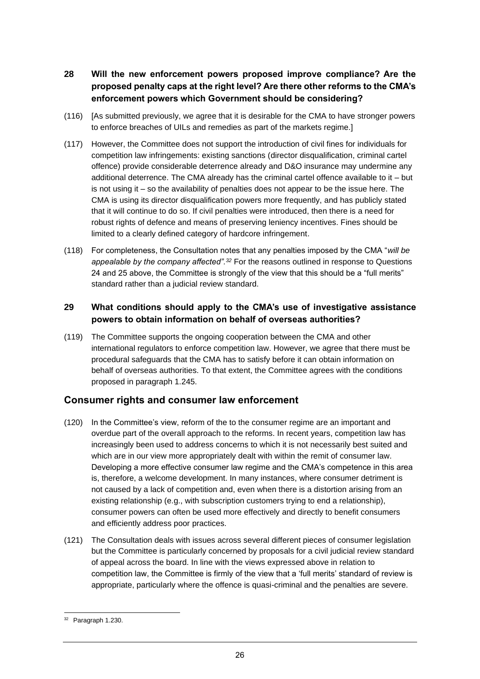- **28 Will the new enforcement powers proposed improve compliance? Are the proposed penalty caps at the right level? Are there other reforms to the CMA's enforcement powers which Government should be considering?**
- (116) [As submitted previously, we agree that it is desirable for the CMA to have stronger powers to enforce breaches of UILs and remedies as part of the markets regime.]
- (117) However, the Committee does not support the introduction of civil fines for individuals for competition law infringements: existing sanctions (director disqualification, criminal cartel offence) provide considerable deterrence already and D&O insurance may undermine any additional deterrence. The CMA already has the criminal cartel offence available to it – but is not using it – so the availability of penalties does not appear to be the issue here. The CMA is using its director disqualification powers more frequently, and has publicly stated that it will continue to do so. If civil penalties were introduced, then there is a need for robust rights of defence and means of preserving leniency incentives. Fines should be limited to a clearly defined category of hardcore infringement.
- (118) For completeness, the Consultation notes that any penalties imposed by the CMA "*will be appealable by the company affected".<sup>32</sup>* For the reasons outlined in response to Questions 24 and 25 above, the Committee is strongly of the view that this should be a "full merits" standard rather than a judicial review standard.

#### **29 What conditions should apply to the CMA's use of investigative assistance powers to obtain information on behalf of overseas authorities?**

(119) The Committee supports the ongoing cooperation between the CMA and other international regulators to enforce competition law. However, we agree that there must be procedural safeguards that the CMA has to satisfy before it can obtain information on behalf of overseas authorities. To that extent, the Committee agrees with the conditions proposed in paragraph 1.245.

#### **Consumer rights and consumer law enforcement**

- (120) In the Committee's view, reform of the to the consumer regime are an important and overdue part of the overall approach to the reforms. In recent years, competition law has increasingly been used to address concerns to which it is not necessarily best suited and which are in our view more appropriately dealt with within the remit of consumer law. Developing a more effective consumer law regime and the CMA's competence in this area is, therefore, a welcome development. In many instances, where consumer detriment is not caused by a lack of competition and, even when there is a distortion arising from an existing relationship (e.g., with subscription customers trying to end a relationship), consumer powers can often be used more effectively and directly to benefit consumers and efficiently address poor practices.
- (121) The Consultation deals with issues across several different pieces of consumer legislation but the Committee is particularly concerned by proposals for a civil judicial review standard of appeal across the board. In line with the views expressed above in relation to competition law, the Committee is firmly of the view that a 'full merits' standard of review is appropriate, particularly where the offence is quasi-criminal and the penalties are severe.

<sup>&</sup>lt;sup>32</sup> Paragraph 1.230.